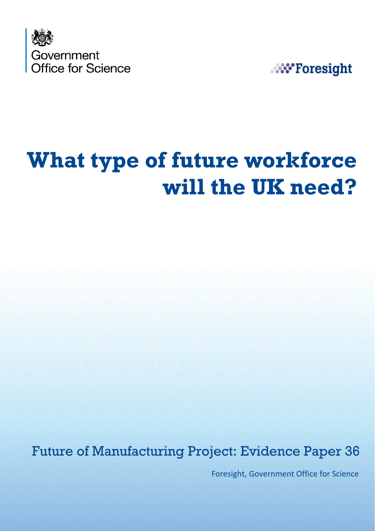

**NV** Foresight

# **What type of future workforce will the UK need?**

Future of Manufacturing Project: Evidence Paper 36

Foresight, Government Office for Science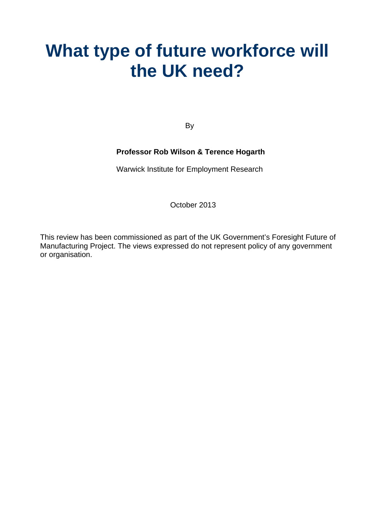## **What type of future workforce will the UK need?**

By

#### **Professor Rob Wilson & Terence Hogarth**

Warwick Institute for Employment Research

October 2013

This review has been commissioned as part of the UK Government's Foresight Future of Manufacturing Project. The views expressed do not represent policy of any government or organisation.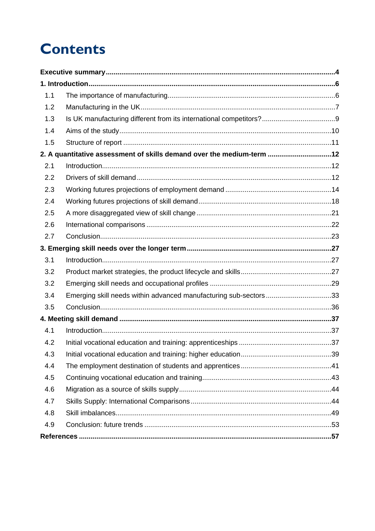## **Contents**

| 1.1 |                                                                       |  |
|-----|-----------------------------------------------------------------------|--|
| 1.2 |                                                                       |  |
| 1.3 |                                                                       |  |
| 1.4 |                                                                       |  |
| 1.5 |                                                                       |  |
|     | 2. A quantitative assessment of skills demand over the medium-term 12 |  |
| 2.1 |                                                                       |  |
| 2.2 |                                                                       |  |
| 2.3 |                                                                       |  |
| 2.4 |                                                                       |  |
| 2.5 |                                                                       |  |
| 2.6 |                                                                       |  |
| 2.7 |                                                                       |  |
|     |                                                                       |  |
| 3.1 |                                                                       |  |
| 3.2 |                                                                       |  |
| 3.2 |                                                                       |  |
| 3.4 | Emerging skill needs within advanced manufacturing sub-sectors33      |  |
| 3.5 |                                                                       |  |
|     |                                                                       |  |
| 4.1 |                                                                       |  |
| 4.2 |                                                                       |  |
| 4.3 |                                                                       |  |
| 4.4 |                                                                       |  |
| 4.5 |                                                                       |  |
| 4.6 |                                                                       |  |
| 4.7 |                                                                       |  |
| 4.8 |                                                                       |  |
| 4.9 |                                                                       |  |
|     |                                                                       |  |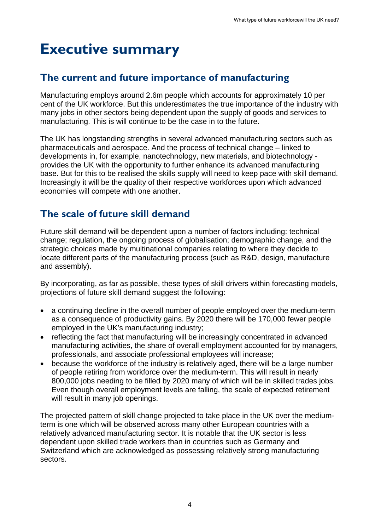## <span id="page-3-0"></span>**Executive summary**

### **The current and future importance of manufacturing**

Manufacturing employs around 2.6m people which accounts for approximately 10 per cent of the UK workforce. But this underestimates the true importance of the industry with many jobs in other sectors being dependent upon the supply of goods and services to manufacturing. This is will continue to be the case in to the future.

The UK has longstanding strengths in several advanced manufacturing sectors such as pharmaceuticals and aerospace. And the process of technical change – linked to developments in, for example, nanotechnology, new materials, and biotechnology provides the UK with the opportunity to further enhance its advanced manufacturing base. But for this to be realised the skills supply will need to keep pace with skill demand. Increasingly it will be the quality of their respective workforces upon which advanced economies will compete with one another.

## **The scale of future skill demand**

Future skill demand will be dependent upon a number of factors including: technical change; regulation, the ongoing process of globalisation; demographic change, and the strategic choices made by multinational companies relating to where they decide to locate different parts of the manufacturing process (such as R&D, design, manufacture and assembly).

By incorporating, as far as possible, these types of skill drivers within forecasting models, projections of future skill demand suggest the following:

- a continuing decline in the overall number of people employed over the medium-term as a consequence of productivity gains. By 2020 there will be 170,000 fewer people employed in the UK's manufacturing industry;
- reflecting the fact that manufacturing will be increasingly concentrated in advanced manufacturing activities, the share of overall employment accounted for by managers, professionals, and associate professional employees will increase;
- because the workforce of the industry is relatively aged, there will be a large number of people retiring from workforce over the medium-term. This will result in nearly 800,000 jobs needing to be filled by 2020 many of which will be in skilled trades jobs. Even though overall employment levels are falling, the scale of expected retirement will result in many job openings.

<span id="page-3-1"></span>The projected pattern of skill change projected to take place in the UK over the mediumterm is one which will be observed across many other European countries with a relatively advanced manufacturing sector. It is notable that the UK sector is less dependent upon skilled trade workers than in countries such as Germany and Switzerland which are acknowledged as possessing relatively strong manufacturing sectors.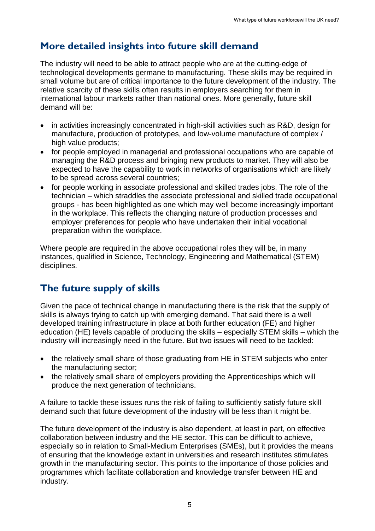## **More detailed insights into future skill demand**

The industry will need to be able to attract people who are at the cutting-edge of technological developments germane to manufacturing. These skills may be required in small volume but are of critical importance to the future development of the industry. The relative scarcity of these skills often results in employers searching for them in international labour markets rather than national ones. More generally, future skill demand will be:

- in activities increasingly concentrated in high-skill activities such as R&D, design for manufacture, production of prototypes, and low-volume manufacture of complex / high value products;
- for people employed in managerial and professional occupations who are capable of managing the R&D process and bringing new products to market. They will also be expected to have the capability to work in networks of organisations which are likely to be spread across several countries;
- for people working in associate professional and skilled trades jobs. The role of the technician – which straddles the associate professional and skilled trade occupational groups - has been highlighted as one which may well become increasingly important in the workplace. This reflects the changing nature of production processes and employer preferences for people who have undertaken their initial vocational preparation within the workplace.

Where people are required in the above occupational roles they will be, in many instances, qualified in Science, Technology, Engineering and Mathematical (STEM) disciplines.

## **The future supply of skills**

Given the pace of technical change in manufacturing there is the risk that the supply of skills is always trying to catch up with emerging demand. That said there is a well developed training infrastructure in place at both further education (FE) and higher education (HE) levels capable of producing the skills – especially STEM skills – which the industry will increasingly need in the future. But two issues will need to be tackled:

- the relatively small share of those graduating from HE in STEM subjects who enter the manufacturing sector;
- the relatively small share of employers providing the Apprenticeships which will produce the next generation of technicians.

A failure to tackle these issues runs the risk of failing to sufficiently satisfy future skill demand such that future development of the industry will be less than it might be.

The future development of the industry is also dependent, at least in part, on effective collaboration between industry and the HE sector. This can be difficult to achieve, especially so in relation to Small-Medium Enterprises (SMEs), but it provides the means of ensuring that the knowledge extant in universities and research institutes stimulates growth in the manufacturing sector. This points to the importance of those policies and programmes which facilitate collaboration and knowledge transfer between HE and industry.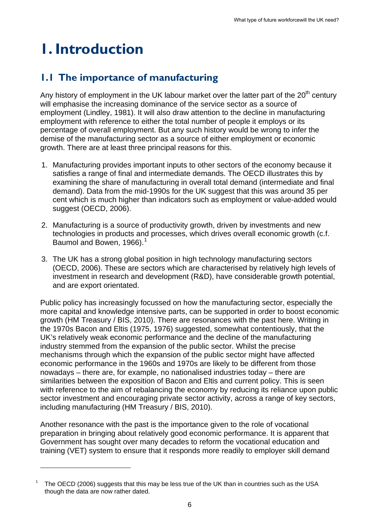## <span id="page-5-0"></span>**1. Introduction**

1

## <span id="page-5-1"></span>**1.1 The importance of manufacturing**

Any history of employment in the UK labour market over the latter part of the  $20<sup>th</sup>$  century will emphasise the increasing dominance of the service sector as a source of employment (Lindley, 1981). It will also draw attention to the decline in manufacturing employment with reference to either the total number of people it employs or its percentage of overall employment. But any such history would be wrong to infer the demise of the manufacturing sector as a source of either employment or economic growth. There are at least three principal reasons for this.

- 1. Manufacturing provides important inputs to other sectors of the economy because it satisfies a range of final and intermediate demands. The OECD illustrates this by examining the share of manufacturing in overall total demand (intermediate and final demand). Data from the mid-1990s for the UK suggest that this was around 35 per cent which is much higher than indicators such as employment or value-added would suggest (OECD, 2006).
- 2. Manufacturing is a source of productivity growth, driven by investments and new technologies in products and processes, which drives overall economic growth (c.f. Baumol and Bowen, [1](#page-3-1)966). $<sup>1</sup>$ </sup>
- 3. The UK has a strong global position in high technology manufacturing sectors (OECD, 2006). These are sectors which are characterised by relatively high levels of investment in research and development (R&D), have considerable growth potential, and are export orientated.

Public policy has increasingly focussed on how the manufacturing sector, especially the more capital and knowledge intensive parts, can be supported in order to boost economic growth (HM Treasury / BIS, 2010). There are resonances with the past here. Writing in the 1970s Bacon and Eltis (1975, 1976) suggested, somewhat contentiously, that the UK's relatively weak economic performance and the decline of the manufacturing industry stemmed from the expansion of the public sector. Whilst the precise mechanisms through which the expansion of the public sector might have affected economic performance in the 1960s and 1970s are likely to be different from those nowadays – there are, for example, no nationalised industries today – there are similarities between the exposition of Bacon and Eltis and current policy. This is seen with reference to the aim of rebalancing the economy by reducing its reliance upon public sector investment and encouraging private sector activity, across a range of key sectors, including manufacturing (HM Treasury / BIS, 2010).

Another resonance with the past is the importance given to the role of vocational preparation in bringing about relatively good economic performance. It is apparent that Government has sought over many decades to reform the vocational education and training (VET) system to ensure that it responds more readily to employer skill demand

<span id="page-5-2"></span><sup>1</sup> The OECD (2006) suggests that this may be less true of the UK than in countries such as the USA though the data are now rather dated.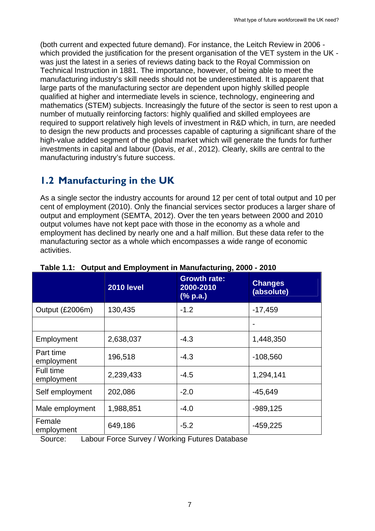(both current and expected future demand). For instance, the Leitch Review in 2006 which provided the justification for the present organisation of the VET system in the UK was just the latest in a series of reviews dating back to the Royal Commission on Technical Instruction in 1881. The importance, however, of being able to meet the manufacturing industry's skill needs should not be underestimated. It is apparent that large parts of the manufacturing sector are dependent upon highly skilled people qualified at higher and intermediate levels in science, technology, engineering and mathematics (STEM) subjects. Increasingly the future of the sector is seen to rest upon a number of mutually reinforcing factors: highly qualified and skilled employees are required to support relatively high levels of investment in R&D which, in turn, are needed to design the new products and processes capable of capturing a significant share of the high-value added segment of the global market which will generate the funds for further investments in capital and labour (Davis, *et al.*, 2012). Clearly, skills are central to the manufacturing industry's future success.

## **1.2 Manufacturing in the UK**

<span id="page-6-0"></span>As a single sector the industry accounts for around 12 per cent of total output and 10 per cent of employment (2010). Only the financial services sector produces a larger share of output and employment (SEMTA, 2012). Over the ten years between 2000 and 2010 output volumes have not kept pace with those in the economy as a whole and employment has declined by nearly one and a half million. But these data refer to the manufacturing sector as a whole which encompasses a wide range of economic activities.

|                         | <b>2010 level</b> | <b>Growth rate:</b><br>2000-2010<br>$(\%$ p.a.) | <b>Changes</b><br>(absolute) |
|-------------------------|-------------------|-------------------------------------------------|------------------------------|
| Output (£2006m)         | 130,435           | $-1.2$                                          | $-17,459$                    |
|                         |                   |                                                 |                              |
| Employment              | 2,638,037         | $-4.3$                                          | 1,448,350                    |
| Part time<br>employment | 196,518           | $-4.3$                                          | $-108,560$                   |
| Full time<br>employment | 2,239,433         | $-4.5$                                          | 1,294,141                    |
| Self employment         | 202,086           | $-2.0$                                          | $-45,649$                    |
| Male employment         | 1,988,851         | $-4.0$                                          | $-989,125$                   |
| Female<br>employment    | 649,186           | $-5.2$                                          | $-459,225$                   |

|  | Table 1.1: Output and Employment in Manufacturing, 2000 - 2010 |  |
|--|----------------------------------------------------------------|--|
|  |                                                                |  |

Source: Labour Force Survey / Working Futures Database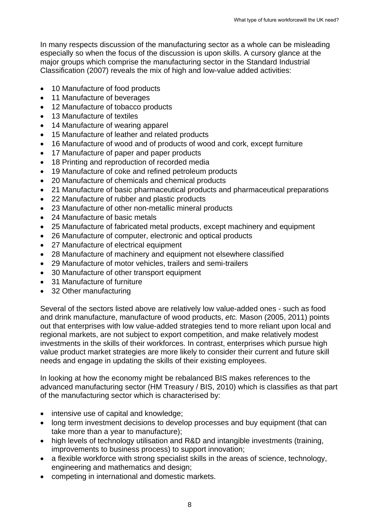In many respects discussion of the manufacturing sector as a whole can be misleading especially so when the focus of the discussion is upon skills. A cursory glance at the major groups which comprise the manufacturing sector in the Standard Industrial Classification (2007) reveals the mix of high and low-value added activities:

- 10 Manufacture of food products
- 11 Manufacture of beverages
- 12 Manufacture of tobacco products
- 13 Manufacture of textiles
- 14 Manufacture of wearing apparel
- 15 Manufacture of leather and related products
- 16 Manufacture of wood and of products of wood and cork, except furniture
- 17 Manufacture of paper and paper products
- 18 Printing and reproduction of recorded media
- 19 Manufacture of coke and refined petroleum products
- 20 Manufacture of chemicals and chemical products
- 21 Manufacture of basic pharmaceutical products and pharmaceutical preparations
- 22 Manufacture of rubber and plastic products
- 23 Manufacture of other non-metallic mineral products
- 24 Manufacture of basic metals
- 25 Manufacture of fabricated metal products, except machinery and equipment
- 26 Manufacture of computer, electronic and optical products
- 27 Manufacture of electrical equipment
- 28 Manufacture of machinery and equipment not elsewhere classified
- 29 Manufacture of motor vehicles, trailers and semi-trailers
- 30 Manufacture of other transport equipment
- 31 Manufacture of furniture
- 32 Other manufacturing

Several of the sectors listed above are relatively low value-added ones - such as food and drink manufacture, manufacture of wood products, *etc.* Mason (2005, 2011) points out that enterprises with low value-added strategies tend to more reliant upon local and regional markets, are not subject to export competition, and make relatively modest investments in the skills of their workforces. In contrast, enterprises which pursue high value product market strategies are more likely to consider their current and future skill needs and engage in updating the skills of their existing employees.

In looking at how the economy might be rebalanced BIS makes references to the advanced manufacturing sector (HM Treasury / BIS, 2010) which is classifies as that part of the manufacturing sector which is characterised by:

- intensive use of capital and knowledge;
- long term investment decisions to develop processes and buy equipment (that can take more than a year to manufacture);
- high levels of technology utilisation and R&D and intangible investments (training, improvements to business process) to support innovation;
- a flexible workforce with strong specialist skills in the areas of science, technology, engineering and mathematics and design;
- competing in international and domestic markets.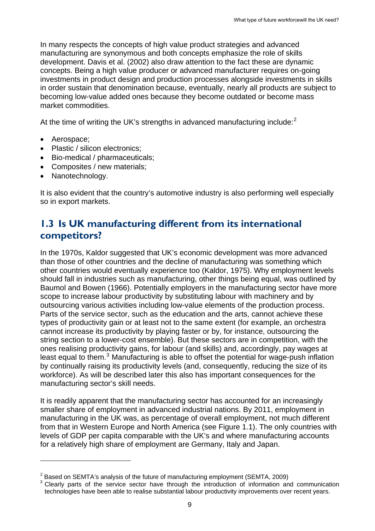In many respects the concepts of high value product strategies and advanced manufacturing are synonymous and both concepts emphasize the role of skills development. Davis et al. (2002) also draw attention to the fact these are dynamic concepts. Being a high value producer or advanced manufacturer requires on-going investments in product design and production processes alongside investments in skills in order sustain that denomination because, eventually, nearly all products are subject to becoming low-value added ones because they become outdated or become mass market commodities.

At the time of writing the UK's strengths in advanced manufacturing include: $2$ 

• Aerospace;

1

- Plastic / silicon electronics:
- Bio-medical / pharmaceuticals;
- Composites / new materials;
- Nanotechnology.

It is also evident that the country's automotive industry is also performing well especially so in export markets.

### <span id="page-8-0"></span>**1.3 Is UK manufacturing different from its international competitors?**

In the 1970s, Kaldor suggested that UK's economic development was more advanced than those of other countries and the decline of manufacturing was something which other countries would eventually experience too (Kaldor, 1975). Why employment levels should fall in industries such as manufacturing, other things being equal, was outlined by Baumol and Bowen (1966). Potentially employers in the manufacturing sector have more scope to increase labour productivity by substituting labour with machinery and by outsourcing various activities including low-value elements of the production process. Parts of the service sector, such as the education and the arts, cannot achieve these types of productivity gain or at least not to the same extent (for example, an orchestra cannot increase its productivity by playing faster or by, for instance, outsourcing the string section to a lower-cost ensemble). But these sectors are in competition, with the ones realising productivity gains, for labour (and skills) and, accordingly, pay wages at least equal to them.<sup>[3](#page-8-1)</sup> Manufacturing is able to offset the potential for wage-push inflation by continually raising its productivity levels (and, consequently, reducing the size of its workforce). As will be described later this also has important consequences for the manufacturing sector's skill needs.

It is readily apparent that the manufacturing sector has accounted for an increasingly smaller share of employment in advanced industrial nations. By 2011, employment in manufacturing in the UK was, as percentage of overall employment, not much different from that in Western Europe and North America (see Figure 1.1). The only countries with levels of GDP per capita comparable with the UK's and where manufacturing accounts for a relatively high share of employment are Germany, Italy and Japan.

 $2$  Based on SEMTA's analysis of the future of manufacturing employment (SEMTA, 2009)

<span id="page-8-2"></span><span id="page-8-1"></span><sup>3</sup> Clearly parts of the service sector have through the introduction of information and communication technologies have been able to realise substantial labour productivity improvements over recent years.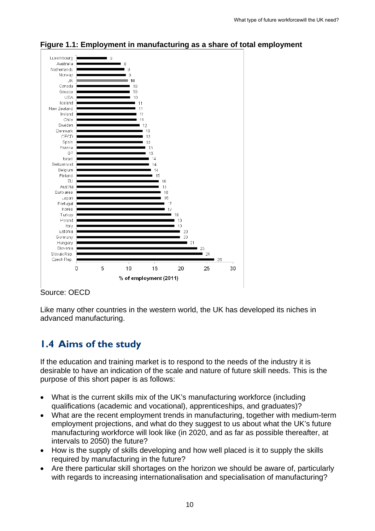

#### **Figure 1.1: Employment in manufacturing as a share of total employment**

#### Source: OECD

Like many other countries in the western world, the UK has developed its niches in advanced manufacturing.

## <span id="page-9-0"></span>**1.4 Aims of the study**

If the education and training market is to respond to the needs of the industry it is desirable to have an indication of the scale and nature of future skill needs. This is the purpose of this short paper is as follows:

- What is the current skills mix of the UK's manufacturing workforce (including qualifications (academic and vocational), apprenticeships, and graduates)?
- What are the recent employment trends in manufacturing, together with medium-term employment projections, and what do they suggest to us about what the UK's future manufacturing workforce will look like (in 2020, and as far as possible thereafter, at intervals to 2050) the future?
- How is the supply of skills developing and how well placed is it to supply the skills required by manufacturing in the future?
- Are there particular skill shortages on the horizon we should be aware of, particularly with regards to increasing internationalisation and specialisation of manufacturing?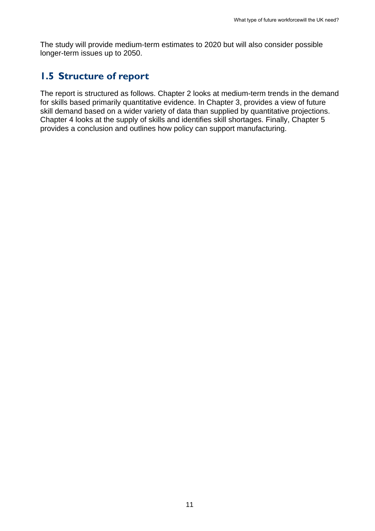The study will provide medium-term estimates to 2020 but will also consider possible longer-term issues up to 2050.

### **1.5 Structure of report**

<span id="page-10-0"></span>The report is structured as follows. Chapter 2 looks at medium-term trends in the demand for skills based primarily quantitative evidence. In Chapter 3, provides a view of future skill demand based on a wider variety of data than supplied by quantitative projections. Chapter 4 looks at the supply of skills and identifies skill shortages. Finally, Chapter 5 provides a conclusion and outlines how policy can support manufacturing.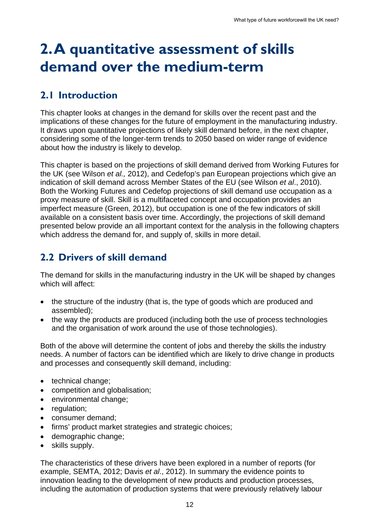## <span id="page-11-0"></span>**2. A quantitative assessment of skills demand over the medium-term**

## <span id="page-11-1"></span>**2.1 Introduction**

This chapter looks at changes in the demand for skills over the recent past and the implications of these changes for the future of employment in the manufacturing industry. It draws upon quantitative projections of likely skill demand before, in the next chapter, considering some of the longer-term trends to 2050 based on wider range of evidence about how the industry is likely to develop.

This chapter is based on the projections of skill demand derived from Working Futures for the UK (see Wilson *et al.,* 2012), and Cedefop's pan European projections which give an indication of skill demand across Member States of the EU (see Wilson *et al*., 2010). Both the Working Futures and Cedefop projections of skill demand use occupation as a proxy measure of skill. Skill is a multifaceted concept and occupation provides an imperfect measure (Green, 2012), but occupation is one of the few indicators of skill available on a consistent basis over time. Accordingly, the projections of skill demand presented below provide an all important context for the analysis in the following chapters which address the demand for, and supply of, skills in more detail.

## <span id="page-11-2"></span>**2.2 Drivers of skill demand**

The demand for skills in the manufacturing industry in the UK will be shaped by changes which will affect:

- the structure of the industry (that is, the type of goods which are produced and assembled);
- the way the products are produced (including both the use of process technologies and the organisation of work around the use of those technologies).

Both of the above will determine the content of jobs and thereby the skills the industry needs. A number of factors can be identified which are likely to drive change in products and processes and consequently skill demand, including:

- technical change;
- competition and globalisation;
- environmental change;
- regulation;
- consumer demand:
- firms' product market strategies and strategic choices;
- demographic change;
- skills supply.

The characteristics of these drivers have been explored in a number of reports (for example, SEMTA, 2012; Davis *et al*., 2012). In summary the evidence points to innovation leading to the development of new products and production processes, including the automation of production systems that were previously relatively labour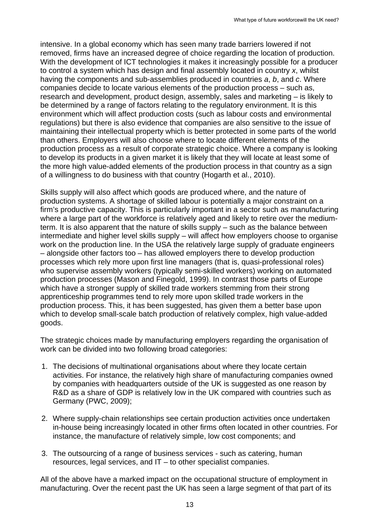intensive. In a global economy which has seen many trade barriers lowered if not removed, firms have an increased degree of choice regarding the location of production. With the development of ICT technologies it makes it increasingly possible for a producer to control a system which has design and final assembly located in country *x*, whilst having the components and sub-assemblies produced in countries *a*, *b*, and *c*. Where companies decide to locate various elements of the production process – such as, research and development, product design, assembly, sales and marketing – is likely to be determined by a range of factors relating to the regulatory environment. It is this environment which will affect production costs (such as labour costs and environmental regulations) but there is also evidence that companies are also sensitive to the issue of maintaining their intellectual property which is better protected in some parts of the world than others. Employers will also choose where to locate different elements of the production process as a result of corporate strategic choice. Where a company is looking to develop its products in a given market it is likely that they will locate at least some of the more high value-added elements of the production process in that country as a sign of a willingness to do business with that country (Hogarth et al., 2010).

Skills supply will also affect which goods are produced where, and the nature of production systems. A shortage of skilled labour is potentially a major constraint on a firm's productive capacity. This is particularly important in a sector such as manufacturing where a large part of the workforce is relatively aged and likely to retire over the mediumterm. It is also apparent that the nature of skills supply – such as the balance between intermediate and higher level skills supply – will affect how employers choose to organise work on the production line. In the USA the relatively large supply of graduate engineers – alongside other factors too – has allowed employers there to develop production processes which rely more upon first line managers (that is, quasi-professional roles) who supervise assembly workers (typically semi-skilled workers) working on automated production processes (Mason and Finegold, 1999). In contrast those parts of Europe which have a stronger supply of skilled trade workers stemming from their strong apprenticeship programmes tend to rely more upon skilled trade workers in the production process. This, it has been suggested, has given them a better base upon which to develop small-scale batch production of relatively complex, high value-added goods.

The strategic choices made by manufacturing employers regarding the organisation of work can be divided into two following broad categories:

- 1. The decisions of multinational organisations about where they locate certain activities. For instance, the relatively high share of manufacturing companies owned by companies with headquarters outside of the UK is suggested as one reason by R&D as a share of GDP is relatively low in the UK compared with countries such as Germany (PWC, 2009);
- 2. Where supply-chain relationships see certain production activities once undertaken in-house being increasingly located in other firms often located in other countries. For instance, the manufacture of relatively simple, low cost components; and
- 3. The outsourcing of a range of business services such as catering, human resources, legal services, and IT – to other specialist companies.

All of the above have a marked impact on the occupational structure of employment in manufacturing. Over the recent past the UK has seen a large segment of that part of its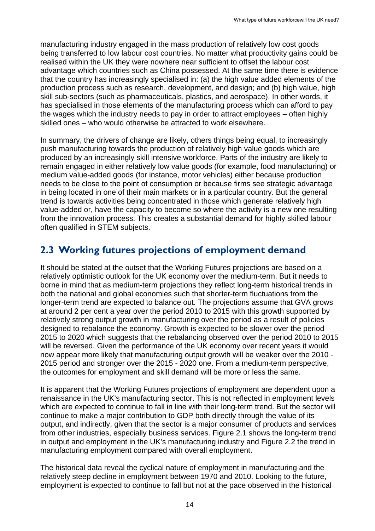manufacturing industry engaged in the mass production of relatively low cost goods being transferred to low labour cost countries. No matter what productivity gains could be realised within the UK they were nowhere near sufficient to offset the labour cost advantage which countries such as China possessed. At the same time there is evidence that the country has increasingly specialised in: (a) the high value added elements of the production process such as research, development, and design; and (b) high value, high skill sub-sectors (such as pharmaceuticals, plastics, and aerospace). In other words, it has specialised in those elements of the manufacturing process which can afford to pay the wages which the industry needs to pay in order to attract employees – often highly skilled ones – who would otherwise be attracted to work elsewhere.

In summary, the drivers of change are likely, others things being equal, to increasingly push manufacturing towards the production of relatively high value goods which are produced by an increasingly skill intensive workforce. Parts of the industry are likely to remain engaged in either relatively low value goods (for example, food manufacturing) or medium value-added goods (for instance, motor vehicles) either because production needs to be close to the point of consumption or because firms see strategic advantage in being located in one of their main markets or in a particular country. But the general trend is towards activities being concentrated in those which generate relatively high value-added or, have the capacity to become so where the activity is a new one resulting from the innovation process. This creates a substantial demand for highly skilled labour often qualified in STEM subjects.

## <span id="page-13-0"></span>**2.3 Working futures projections of employment demand**

It should be stated at the outset that the Working Futures projections are based on a relatively optimistic outlook for the UK economy over the medium-term. But it needs to borne in mind that as medium-term projections they reflect long-term historical trends in both the national and global economies such that shorter-term fluctuations from the longer-term trend are expected to balance out. The projections assume that GVA grows at around 2 per cent a year over the period 2010 to 2015 with this growth supported by relatively strong output growth in manufacturing over the period as a result of policies designed to rebalance the economy. Growth is expected to be slower over the period 2015 to 2020 which suggests that the rebalancing observed over the period 2010 to 2015 will be reversed. Given the performance of the UK economy over recent years it would now appear more likely that manufacturing output growth will be weaker over the 2010 - 2015 period and stronger over the 2015 - 2020 one. From a medium-term perspective, the outcomes for employment and skill demand will be more or less the same.

It is apparent that the Working Futures projections of employment are dependent upon a renaissance in the UK's manufacturing sector. This is not reflected in employment levels which are expected to continue to fall in line with their long-term trend. But the sector will continue to make a major contribution to GDP both directly through the value of its output, and indirectly, given that the sector is a major consumer of products and services from other industries, especially business services. Figure 2.1 shows the long-term trend in output and employment in the UK's manufacturing industry and Figure 2.2 the trend in manufacturing employment compared with overall employment.

The historical data reveal the cyclical nature of employment in manufacturing and the relatively steep decline in employment between 1970 and 2010. Looking to the future, employment is expected to continue to fall but not at the pace observed in the historical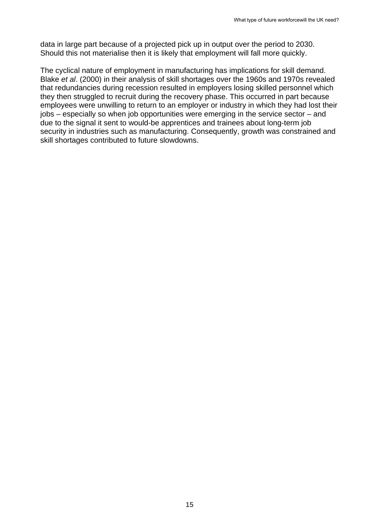data in large part because of a projected pick up in output over the period to 2030. Should this not materialise then it is likely that employment will fall more quickly.

The cyclical nature of employment in manufacturing has implications for skill demand. Blake *et al*. (2000) in their analysis of skill shortages over the 1960s and 1970s revealed that redundancies during recession resulted in employers losing skilled personnel which they then struggled to recruit during the recovery phase. This occurred in part because employees were unwilling to return to an employer or industry in which they had lost their jobs – especially so when job opportunities were emerging in the service sector – and due to the signal it sent to would-be apprentices and trainees about long-term job security in industries such as manufacturing. Consequently, growth was constrained and skill shortages contributed to future slowdowns.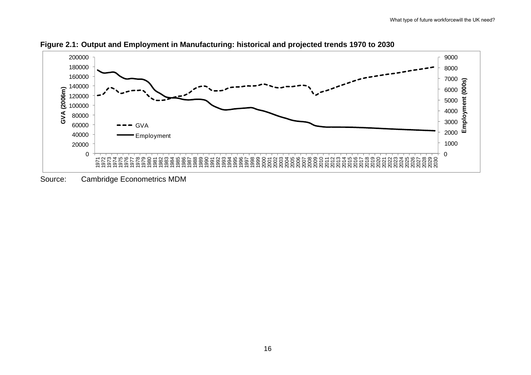

**Figure 2.1: Output and Employment in Manufacturing: historical and projected trends 1970 to 2030** 

Source: Cambridge Econometrics MDM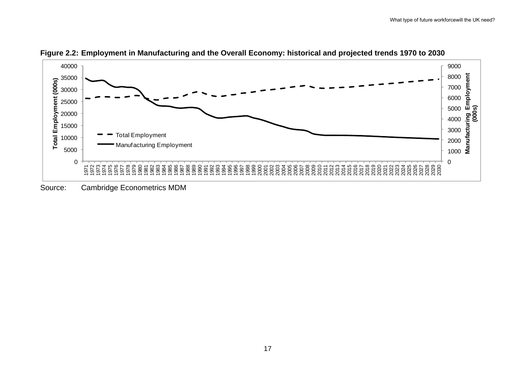

**Figure 2.2: Employment in Manufacturing and the Overall Economy: historical and projected trends 1970 to 2030** 

Source: Cambridge Econometrics MDM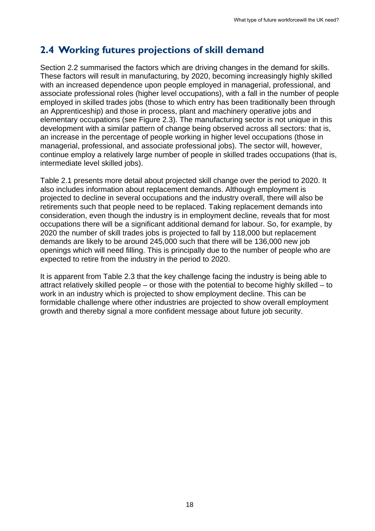## <span id="page-17-0"></span>**2.4 Working futures projections of skill demand**

Section 2.2 summarised the factors which are driving changes in the demand for skills. These factors will result in manufacturing, by 2020, becoming increasingly highly skilled with an increased dependence upon people employed in managerial, professional, and associate professional roles (higher level occupations), with a fall in the number of people employed in skilled trades jobs (those to which entry has been traditionally been through an Apprenticeship) and those in process, plant and machinery operative jobs and elementary occupations (see Figure 2.3). The manufacturing sector is not unique in this development with a similar pattern of change being observed across all sectors: that is, an increase in the percentage of people working in higher level occupations (those in managerial, professional, and associate professional jobs). The sector will, however, continue employ a relatively large number of people in skilled trades occupations (that is, intermediate level skilled jobs).

Table 2.1 presents more detail about projected skill change over the period to 2020. It also includes information about replacement demands. Although employment is projected to decline in several occupations and the industry overall, there will also be retirements such that people need to be replaced. Taking replacement demands into consideration, even though the industry is in employment decline, reveals that for most occupations there will be a significant additional demand for labour. So, for example, by 2020 the number of skill trades jobs is projected to fall by 118,000 but replacement demands are likely to be around 245,000 such that there will be 136,000 new job openings which will need filling. This is principally due to the number of people who are expected to retire from the industry in the period to 2020.

It is apparent from Table 2.3 that the key challenge facing the industry is being able to attract relatively skilled people – or those with the potential to become highly skilled – to work in an industry which is projected to show employment decline. This can be formidable challenge where other industries are projected to show overall employment growth and thereby signal a more confident message about future job security.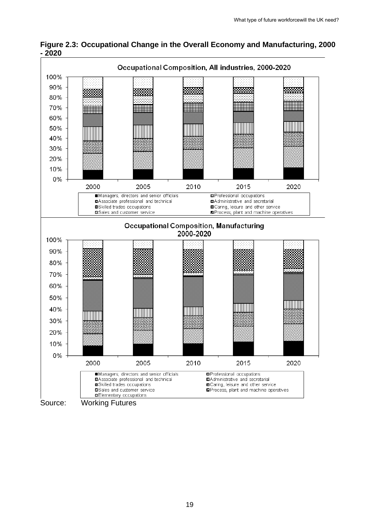

**Figure 2.3: Occupational Change in the Overall Economy and Manufacturing, 2000 - 2020**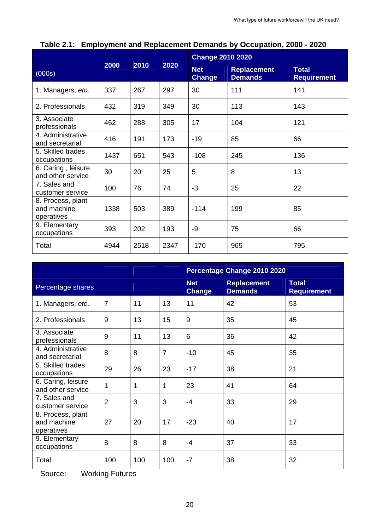|                                                |      |      |      | <b>Change 2010 2020</b>     |                                      |                                    |
|------------------------------------------------|------|------|------|-----------------------------|--------------------------------------|------------------------------------|
| (000s)                                         | 2000 | 2010 | 2020 | <b>Net</b><br><b>Change</b> | <b>Replacement</b><br><b>Demands</b> | <b>Total</b><br><b>Requirement</b> |
| 1. Managers, etc.                              | 337  | 267  | 297  | 30                          | 111                                  | 141                                |
| 2. Professionals                               | 432  | 319  | 349  | 30                          | 113                                  | 143                                |
| 3. Associate<br>professionals                  | 462  | 288  | 305  | 17                          | 104                                  | 121                                |
| 4. Administrative<br>and secretarial           | 416  | 191  | 173  | $-19$                       | 85                                   | 66                                 |
| 5. Skilled trades<br>occupations               | 1437 | 651  | 543  | $-108$                      | 245                                  | 136                                |
| 6. Caring, leisure<br>and other service        | 30   | 20   | 25   | 5                           | 8                                    | 13                                 |
| 7. Sales and<br>customer service               | 100  | 76   | 74   | $-3$                        | 25                                   | 22                                 |
| 8. Process, plant<br>and machine<br>operatives | 1338 | 503  | 389  | $-114$                      | 199                                  | 85                                 |
| 9. Elementary<br>occupations                   | 393  | 202  | 193  | -9                          | 75                                   | 66                                 |
| Total                                          | 4944 | 2518 | 2347 | $-170$                      | 965                                  | 795                                |

|  |  |  |  |  | Table 2.1: Employment and Replacement Demands by Occupation, 2000 - 2020 |  |  |  |  |
|--|--|--|--|--|--------------------------------------------------------------------------|--|--|--|--|
|--|--|--|--|--|--------------------------------------------------------------------------|--|--|--|--|

|                                                |                |     |                | Percentage Change 2010 2020 |                                      |                                    |  |
|------------------------------------------------|----------------|-----|----------------|-----------------------------|--------------------------------------|------------------------------------|--|
| Percentage shares                              |                |     |                | <b>Net</b><br><b>Change</b> | <b>Replacement</b><br><b>Demands</b> | <b>Total</b><br><b>Requirement</b> |  |
| 1. Managers, etc.                              | $\overline{7}$ | 11  | 13             | 11                          | 42                                   | 53                                 |  |
| 2. Professionals                               | 9              | 13  | 15             | 9                           | 35                                   | 45                                 |  |
| 3. Associate<br>professionals                  | 9              | 11  | 13             | 6                           | 36                                   | 42                                 |  |
| 4. Administrative<br>and secretarial           | 8              | 8   | $\overline{7}$ | $-10$                       | 45                                   | 35                                 |  |
| 5. Skilled trades<br>occupations               | 29             | 26  | 23             | $-17$                       | 38                                   | 21                                 |  |
| 6. Caring, leisure<br>and other service        | 1              | 1   | 1              | 23                          | 41                                   | 64                                 |  |
| 7. Sales and<br>customer service               | $\overline{2}$ | 3   | 3              | $-4$                        | 33                                   | 29                                 |  |
| 8. Process, plant<br>and machine<br>operatives | 27             | 20  | 17             | $-23$                       | 40                                   | 17                                 |  |
| 9. Elementary<br>occupations                   | 8              | 8   | 8              | $-4$                        | 37                                   | 33                                 |  |
| Total                                          | 100            | 100 | 100            | $-7$                        | 38                                   | 32                                 |  |

Source: Working Futures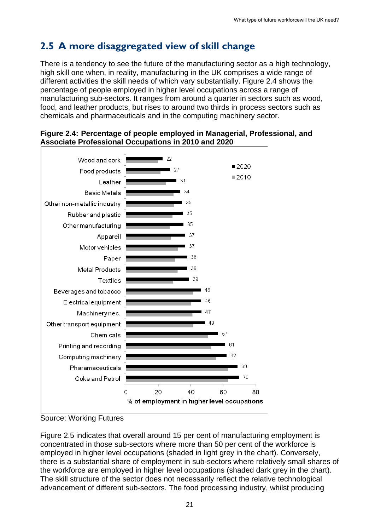## <span id="page-20-0"></span>**2.5 A more disaggregated view of skill change**

There is a tendency to see the future of the manufacturing sector as a high technology, high skill one when, in reality, manufacturing in the UK comprises a wide range of different activities the skill needs of which vary substantially. Figure 2.4 shows the percentage of people employed in higher level occupations across a range of manufacturing sub-sectors. It ranges from around a quarter in sectors such as wood, food, and leather products, but rises to around two thirds in process sectors such as chemicals and pharmaceuticals and in the computing machinery sector.



#### **Figure 2.4: Percentage of people employed in Managerial, Professional, and Associate Professional Occupations in 2010 and 2020**

Source: Working Futures

Figure 2.5 indicates that overall around 15 per cent of manufacturing employment is concentrated in those sub-sectors where more than 50 per cent of the workforce is employed in higher level occupations (shaded in light grey in the chart). Conversely, there is a substantial share of employment in sub-sectors where relatively small shares of the workforce are employed in higher level occupations (shaded dark grey in the chart). The skill structure of the sector does not necessarily reflect the relative technological advancement of different sub-sectors. The food processing industry, whilst producing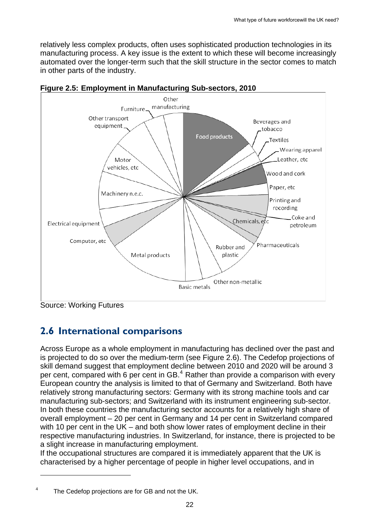relatively less complex products, often uses sophisticated production technologies in its manufacturing process. A key issue is the extent to which these will become increasingly automated over the longer-term such that the skill structure in the sector comes to match in other parts of the industry.





1

## <span id="page-21-0"></span>**2.6 International comparisons**

Across Europe as a whole employment in manufacturing has declined over the past and is projected to do so over the medium-term (see Figure 2.6). The Cedefop projections of skill demand suggest that employment decline between 2010 and 2020 will be around 3 per cent, compared with 6 per cent in  $GB.^4$  $GB.^4$  Rather than provide a comparison with every European country the analysis is limited to that of Germany and Switzerland. Both have relatively strong manufacturing sectors: Germany with its strong machine tools and car manufacturing sub-sectors; and Switzerland with its instrument engineering sub-sector. In both these countries the manufacturing sector accounts for a relatively high share of overall employment – 20 per cent in Germany and 14 per cent in Switzerland compared with 10 per cent in the UK – and both show lower rates of employment decline in their respective manufacturing industries. In Switzerland, for instance, there is projected to be a slight increase in manufacturing employment.

If the occupational structures are compared it is immediately apparent that the UK is characterised by a higher percentage of people in higher level occupations, and in

Source: Working Futures

<sup>4</sup> The Cedefop projections are for GB and not the UK.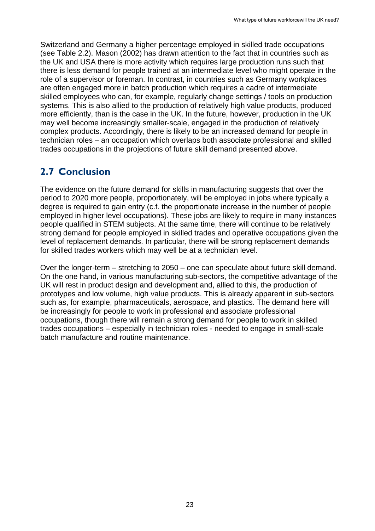Switzerland and Germany a higher percentage employed in skilled trade occupations (see Table 2.2). Mason (2002) has drawn attention to the fact that in countries such as the UK and USA there is more activity which requires large production runs such that there is less demand for people trained at an intermediate level who might operate in the role of a supervisor or foreman. In contrast, in countries such as Germany workplaces are often engaged more in batch production which requires a cadre of intermediate skilled employees who can, for example, regularly change settings / tools on production systems. This is also allied to the production of relatively high value products, produced more efficiently, than is the case in the UK. In the future, however, production in the UK may well become increasingly smaller-scale, engaged in the production of relatively complex products. Accordingly, there is likely to be an increased demand for people in technician roles – an occupation which overlaps both associate professional and skilled trades occupations in the projections of future skill demand presented above.

## <span id="page-22-0"></span>**2.7 Conclusion**

The evidence on the future demand for skills in manufacturing suggests that over the period to 2020 more people, proportionately, will be employed in jobs where typically a degree is required to gain entry (c.f. the proportionate increase in the number of people employed in higher level occupations). These jobs are likely to require in many instances people qualified in STEM subjects. At the same time, there will continue to be relatively strong demand for people employed in skilled trades and operative occupations given the level of replacement demands. In particular, there will be strong replacement demands for skilled trades workers which may well be at a technician level.

Over the longer-term – stretching to 2050 – one can speculate about future skill demand. On the one hand, in various manufacturing sub-sectors, the competitive advantage of the UK will rest in product design and development and, allied to this, the production of prototypes and low volume, high value products. This is already apparent in sub-sectors such as, for example, pharmaceuticals, aerospace, and plastics. The demand here will be increasingly for people to work in professional and associate professional occupations, though there will remain a strong demand for people to work in skilled trades occupations – especially in technician roles - needed to engage in small-scale batch manufacture and routine maintenance.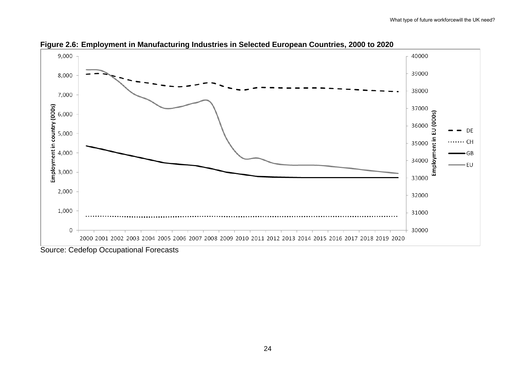

**Figure 2.6: Employment in Manufacturing Industries in Selected European Countries, 2000 to 2020** 

Source: Cedefop Occupational Forecasts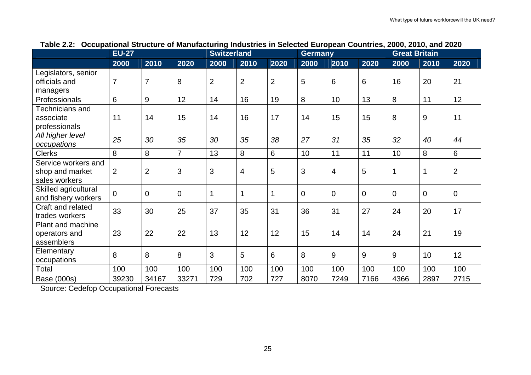|                                                         | <b>EU-27</b>   |                   |                | <b>Switzerland</b> |                |                | <b>Germany</b> |             |             | <b>Great Britain</b> |             |                |
|---------------------------------------------------------|----------------|-------------------|----------------|--------------------|----------------|----------------|----------------|-------------|-------------|----------------------|-------------|----------------|
|                                                         | 2000           | $\overline{2010}$ | 2020           | 2000               | 2010           | 2020           | 2000           | 2010        | 2020        | 2000                 | 2010        | 2020           |
| Legislators, senior<br>officials and<br>managers        | $\overline{7}$ | $\overline{7}$    | 8              | $\overline{2}$     | $\overline{2}$ | $\overline{2}$ | 5              | 6           | 6           | 16                   | 20          | 21             |
| Professionals                                           | 6              | 9                 | 12             | 14                 | 16             | 19             | 8              | 10          | 13          | 8                    | 11          | 12             |
| Technicians and<br>associate<br>professionals           | 11             | 14                | 15             | 14                 | 16             | 17             | 14             | 15          | 15          | 8                    | 9           | 11             |
| All higher level<br>occupations                         | 25             | 30                | 35             | 30                 | 35             | 38             | 27             | 31          | 35          | 32                   | 40          | 44             |
| <b>Clerks</b>                                           | 8              | 8                 | $\overline{7}$ | 13                 | 8              | 6              | 10             | 11          | 11          | 10                   | 8           | 6              |
| Service workers and<br>shop and market<br>sales workers | 2              | $\overline{2}$    | 3              | 3                  | 4              | 5              | 3              | 4           | 5           | 1                    | 1           | $\overline{2}$ |
| Skilled agricultural<br>and fishery workers             | $\mathbf{0}$   | 0                 | $\mathbf 0$    | $\mathbf 1$        | 1              | $\mathbf{1}$   | $\mathbf 0$    | $\mathbf 0$ | $\mathbf 0$ | $\overline{0}$       | $\mathbf 0$ | $\mathbf 0$    |
| Craft and related<br>trades workers                     | 33             | 30                | 25             | 37                 | 35             | 31             | 36             | 31          | 27          | 24                   | 20          | 17             |
| Plant and machine<br>operators and<br>assemblers        | 23             | 22                | 22             | 13                 | 12             | 12             | 15             | 14          | 14          | 24                   | 21          | 19             |
| Elementary<br>occupations                               | 8              | 8                 | 8              | 3                  | 5              | 6              | 8              | 9           | 9           | 9                    | 10          | 12             |
| Total                                                   | 100            | 100               | 100            | 100                | 100            | 100            | 100            | 100         | 100         | 100                  | 100         | 100            |
| Base (000s)                                             | 39230          | 34167             | 33271          | 729                | 702            | 727            | 8070           | 7249        | 7166        | 4366                 | 2897        | 2715           |

#### **Table 2.2: Occupational Structure of Manufacturing Industries in Selected European Countries, 2000, 2010, and 2020**

Source: Cedefop Occupational Forecasts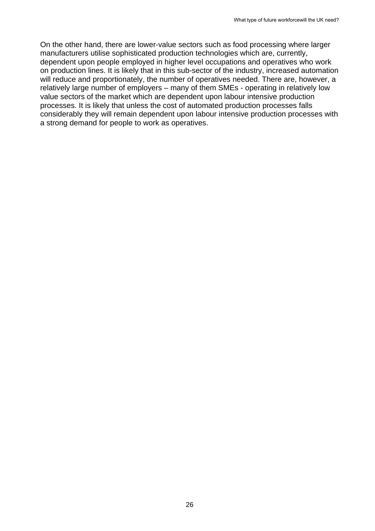On the other hand, there are lower-value sectors such as food processing where larger manufacturers utilise sophisticated production technologies which are, currently, dependent upon people employed in higher level occupations and operatives who work on production lines. It is likely that in this sub-sector of the industry, increased automation will reduce and proportionately, the number of operatives needed. There are, however, a relatively large number of employers – many of them SMEs - operating in relatively low value sectors of the market which are dependent upon labour intensive production processes. It is likely that unless the cost of automated production processes falls considerably they will remain dependent upon labour intensive production processes with a strong demand for people to work as operatives.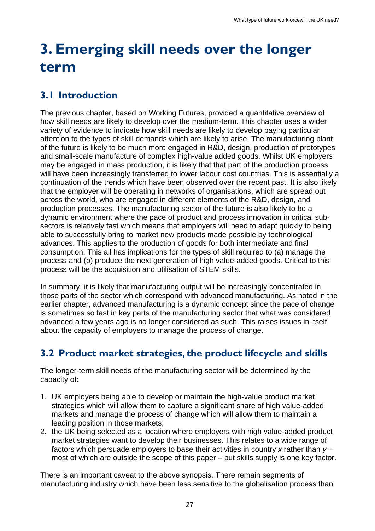## <span id="page-26-0"></span>**3. Emerging skill needs over the longer term**

## <span id="page-26-1"></span>**3.1 Introduction**

The previous chapter, based on Working Futures, provided a quantitative overview of how skill needs are likely to develop over the medium-term. This chapter uses a wider variety of evidence to indicate how skill needs are likely to develop paying particular attention to the types of skill demands which are likely to arise. The manufacturing plant of the future is likely to be much more engaged in R&D, design, production of prototypes and small-scale manufacture of complex high-value added goods. Whilst UK employers may be engaged in mass production, it is likely that that part of the production process will have been increasingly transferred to lower labour cost countries. This is essentially a continuation of the trends which have been observed over the recent past. It is also likely that the employer will be operating in networks of organisations, which are spread out across the world, who are engaged in different elements of the R&D, design, and production processes. The manufacturing sector of the future is also likely to be a dynamic environment where the pace of product and process innovation in critical subsectors is relatively fast which means that employers will need to adapt quickly to being able to successfully bring to market new products made possible by technological advances. This applies to the production of goods for both intermediate and final consumption. This all has implications for the types of skill required to (a) manage the process and (b) produce the next generation of high value-added goods. Critical to this process will be the acquisition and utilisation of STEM skills.

In summary, it is likely that manufacturing output will be increasingly concentrated in those parts of the sector which correspond with advanced manufacturing. As noted in the earlier chapter, advanced manufacturing is a dynamic concept since the pace of change is sometimes so fast in key parts of the manufacturing sector that what was considered advanced a few years ago is no longer considered as such. This raises issues in itself about the capacity of employers to manage the process of change.

## <span id="page-26-2"></span>**3.2 Product market strategies, the product lifecycle and skills**

The longer-term skill needs of the manufacturing sector will be determined by the capacity of:

- 1. UK employers being able to develop or maintain the high-value product market strategies which will allow them to capture a significant share of high value-added markets and manage the process of change which will allow them to maintain a leading position in those markets;
- 2. the UK being selected as a location where employers with high value-added product market strategies want to develop their businesses. This relates to a wide range of factors which persuade employers to base their activities in country *x* rather than *y* – most of which are outside the scope of this paper – but skills supply is one key factor.

There is an important caveat to the above synopsis. There remain segments of manufacturing industry which have been less sensitive to the globalisation process than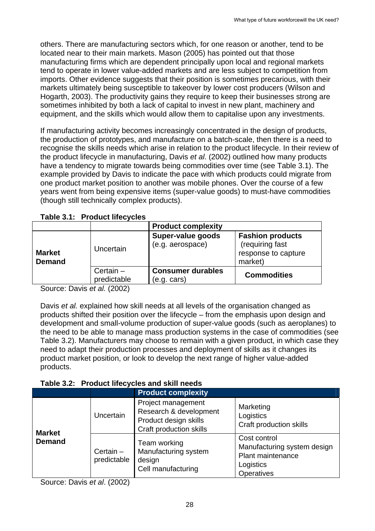others. There are manufacturing sectors which, for one reason or another, tend to be located near to their main markets. Mason (2005) has pointed out that those manufacturing firms which are dependent principally upon local and regional markets tend to operate in lower value-added markets and are less subject to competition from imports. Other evidence suggests that their position is sometimes precarious, with their markets ultimately being susceptible to takeover by lower cost producers (Wilson and Hogarth, 2003). The productivity gains they require to keep their businesses strong are sometimes inhibited by both a lack of capital to invest in new plant, machinery and equipment, and the skills which would allow them to capitalise upon any investments.

If manufacturing activity becomes increasingly concentrated in the design of products, the production of prototypes, and manufacture on a batch-scale, then there is a need to recognise the skills needs which arise in relation to the product lifecycle. In their review of the product lifecycle in manufacturing, Davis *et al*. (2002) outlined how many products have a tendency to migrate towards being commodities over time (see Table 3.1). The example provided by Davis to indicate the pace with which products could migrate from one product market position to another was mobile phones. Over the course of a few years went from being expensive items (super-value goods) to must-have commodities (though still technically complex products).

|                                |                            | <b>Product complexity</b>                    |                                                                              |
|--------------------------------|----------------------------|----------------------------------------------|------------------------------------------------------------------------------|
| <b>Market</b><br><b>Demand</b> | Uncertain                  | <b>Super-value goods</b><br>(e.g. aerospace) | <b>Fashion products</b><br>(requiring fast<br>response to capture<br>market) |
|                                | Certain $-$<br>predictable | <b>Consumer durables</b><br>(e.g. cars)      | <b>Commodities</b>                                                           |

**Table 3.1: Product lifecycles** 

Source: Davis *et al.* (2002)

Davis *et al.* explained how skill needs at all levels of the organisation changed as products shifted their position over the lifecycle – from the emphasis upon design and development and small-volume production of super-value goods (such as aeroplanes) to the need to be able to manage mass production systems in the case of commodities (see Table 3.2). Manufacturers may choose to remain with a given product, in which case they need to adapt their production processes and deployment of skills as it changes its product market position, or look to develop the next range of higher value-added products.

#### **Table 3.2: Product lifecycles and skill needs**

|               |                            | <b>Product complexity</b>                                                                               |                                                                                             |
|---------------|----------------------------|---------------------------------------------------------------------------------------------------------|---------------------------------------------------------------------------------------------|
| <b>Market</b> | Uncertain                  | Project management<br>Research & development<br>Product design skills<br><b>Craft production skills</b> | Marketing<br>Logistics<br>Craft production skills                                           |
| <b>Demand</b> | Certain $-$<br>predictable | Team working<br>Manufacturing system<br>design<br>Cell manufacturing                                    | Cost control<br>Manufacturing system design<br>Plant maintenance<br>Logistics<br>Operatives |

Source: Davis *et al*. (2002)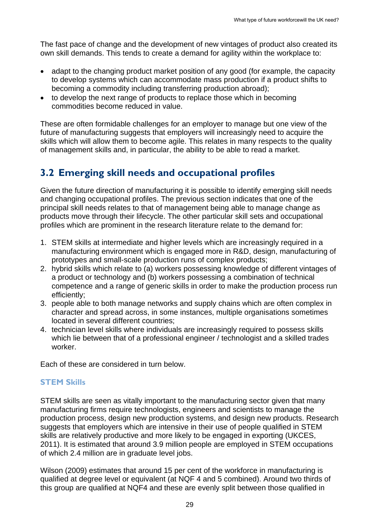The fast pace of change and the development of new vintages of product also created its own skill demands. This tends to create a demand for agility within the workplace to:

- adapt to the changing product market position of any good (for example, the capacity to develop systems which can accommodate mass production if a product shifts to becoming a commodity including transferring production abroad);
- to develop the next range of products to replace those which in becoming commodities become reduced in value.

These are often formidable challenges for an employer to manage but one view of the future of manufacturing suggests that employers will increasingly need to acquire the skills which will allow them to become agile. This relates in many respects to the quality of management skills and, in particular, the ability to be able to read a market.

## <span id="page-28-0"></span>**3.2 Emerging skill needs and occupational profiles**

Given the future direction of manufacturing it is possible to identify emerging skill needs and changing occupational profiles. The previous section indicates that one of the principal skill needs relates to that of management being able to manage change as products move through their lifecycle. The other particular skill sets and occupational profiles which are prominent in the research literature relate to the demand for:

- 1. STEM skills at intermediate and higher levels which are increasingly required in a manufacturing environment which is engaged more in R&D, design, manufacturing of prototypes and small-scale production runs of complex products;
- 2. hybrid skills which relate to (a) workers possessing knowledge of different vintages of a product or technology and (b) workers possessing a combination of technical competence and a range of generic skills in order to make the production process run efficiently;
- 3. people able to both manage networks and supply chains which are often complex in character and spread across, in some instances, multiple organisations sometimes located in several different countries;
- 4. technician level skills where individuals are increasingly required to possess skills which lie between that of a professional engineer / technologist and a skilled trades worker.

Each of these are considered in turn below.

#### **STEM Skills**

STEM skills are seen as vitally important to the manufacturing sector given that many manufacturing firms require technologists, engineers and scientists to manage the production process, design new production systems, and design new products. Research suggests that employers which are intensive in their use of people qualified in STEM skills are relatively productive and more likely to be engaged in exporting (UKCES, 2011). It is estimated that around 3.9 million people are employed in STEM occupations of which 2.4 million are in graduate level jobs.

Wilson (2009) estimates that around 15 per cent of the workforce in manufacturing is qualified at degree level or equivalent (at NQF 4 and 5 combined). Around two thirds of this group are qualified at NQF4 and these are evenly split between those qualified in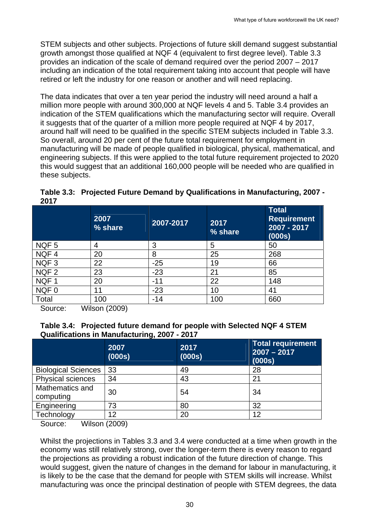STEM subjects and other subjects. Projections of future skill demand suggest substantial growth amongst those qualified at NQF 4 (equivalent to first degree level). Table 3.3 provides an indication of the scale of demand required over the period 2007 – 2017 including an indication of the total requirement taking into account that people will have retired or left the industry for one reason or another and will need replacing.

The data indicates that over a ten year period the industry will need around a half a million more people with around 300,000 at NQF levels 4 and 5. Table 3.4 provides an indication of the STEM qualifications which the manufacturing sector will require. Overall it suggests that of the quarter of a million more people required at NQF 4 by 2017, around half will need to be qualified in the specific STEM subjects included in Table 3.3. So overall, around 20 per cent of the future total requirement for employment in manufacturing will be made of people qualified in biological, physical, mathematical, and engineering subjects. If this were applied to the total future requirement projected to 2020 this would suggest that an additional 160,000 people will be needed who are qualified in these subjects.

**Table 3.3: Projected Future Demand by Qualifications in Manufacturing, 2007 - 2017** 

|                  | 2007<br>% share | 2007-2017 | 2017<br>% share | <b>Total</b><br><b>Requirement</b><br>2007 - 2017<br>(000s) |
|------------------|-----------------|-----------|-----------------|-------------------------------------------------------------|
| NQF <sub>5</sub> | 4               | 3         | 5               | 50                                                          |
| NQF4             | 20              | 8         | 25              | 268                                                         |
| NQF <sub>3</sub> | 22              | $-25$     | 19              | 66                                                          |
| NQF <sub>2</sub> | 23              | $-23$     | 21              | 85                                                          |
| NQF1             | 20              | $-11$     | 22              | 148                                                         |
| NQF0             | 11              | $-23$     | 10              | 41                                                          |
| Total            | 100             | -14       | 100             | 660                                                         |

Source: Wilson (2009)

| Table 3.4: Projected future demand for people with Selected NQF 4 STEM |  |
|------------------------------------------------------------------------|--|
| Qualifications in Manufacturing, 2007 - 2017                           |  |

|                              | 2007<br>(000s) | 2017<br>(000s) | <b>Total requirement</b><br>$2007 - 2017$<br>(000s) |
|------------------------------|----------------|----------------|-----------------------------------------------------|
| <b>Biological Sciences</b>   | 33             | 49             | 28                                                  |
| Physical sciences            | 34             | 43             | 21                                                  |
| Mathematics and<br>computing | 30             | 54             | 34                                                  |
| Engineering                  | 73             | 80             | 32                                                  |
| Technology                   | 12             | 20             | 12                                                  |

Source: Wilson (2009)

Whilst the projections in Tables 3.3 and 3.4 were conducted at a time when growth in the economy was still relatively strong, over the longer-term there is every reason to regard the projections as providing a robust indication of the future direction of change. This would suggest, given the nature of changes in the demand for labour in manufacturing, it is likely to be the case that the demand for people with STEM skills will increase. Whilst manufacturing was once the principal destination of people with STEM degrees, the data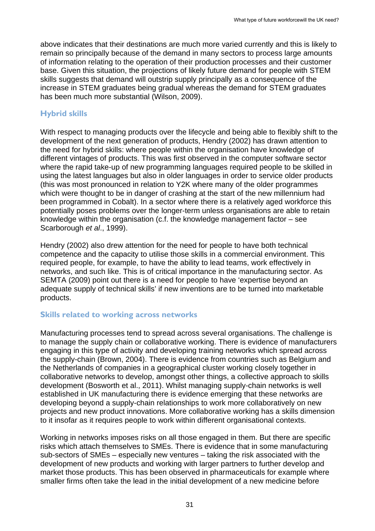above indicates that their destinations are much more varied currently and this is likely to remain so principally because of the demand in many sectors to process large amounts of information relating to the operation of their production processes and their customer base. Given this situation, the projections of likely future demand for people with STEM skills suggests that demand will outstrip supply principally as a consequence of the increase in STEM graduates being gradual whereas the demand for STEM graduates has been much more substantial (Wilson, 2009).

#### **Hybrid skills**

With respect to managing products over the lifecycle and being able to flexibly shift to the development of the next generation of products, Hendry (2002) has drawn attention to the need for hybrid skills: where people within the organisation have knowledge of different vintages of products. This was first observed in the computer software sector where the rapid take-up of new programming languages required people to be skilled in using the latest languages but also in older languages in order to service older products (this was most pronounced in relation to Y2K where many of the older programmes which were thought to be in danger of crashing at the start of the new millennium had been programmed in Cobalt). In a sector where there is a relatively aged workforce this potentially poses problems over the longer-term unless organisations are able to retain knowledge within the organisation (c.f. the knowledge management factor – see Scarborough *et al*., 1999).

Hendry (2002) also drew attention for the need for people to have both technical competence and the capacity to utilise those skills in a commercial environment. This required people, for example, to have the ability to lead teams, work effectively in networks, and such like. This is of critical importance in the manufacturing sector. As SEMTA (2009) point out there is a need for people to have 'expertise beyond an adequate supply of technical skills' if new inventions are to be turned into marketable products.

#### **Skills related to working across networks**

Manufacturing processes tend to spread across several organisations. The challenge is to manage the supply chain or collaborative working. There is evidence of manufacturers engaging in this type of activity and developing training networks which spread across the supply-chain (Brown, 2004). There is evidence from countries such as Belgium and the Netherlands of companies in a geographical cluster working closely together in collaborative networks to develop, amongst other things, a collective approach to skills development (Bosworth et al., 2011). Whilst managing supply-chain networks is well established in UK manufacturing there is evidence emerging that these networks are developing beyond a supply-chain relationships to work more collaboratively on new projects and new product innovations. More collaborative working has a skills dimension to it insofar as it requires people to work within different organisational contexts.

Working in networks imposes risks on all those engaged in them. But there are specific risks which attach themselves to SMEs. There is evidence that in some manufacturing sub-sectors of SMEs – especially new ventures – taking the risk associated with the development of new products and working with larger partners to further develop and market those products. This has been observed in pharmaceuticals for example where smaller firms often take the lead in the initial development of a new medicine before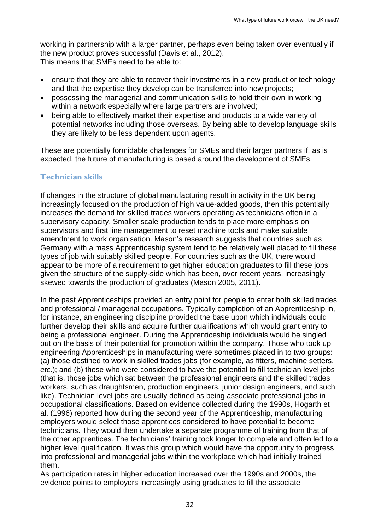working in partnership with a larger partner, perhaps even being taken over eventually if the new product proves successful (Davis et al., 2012). This means that SMEs need to be able to:

- ensure that they are able to recover their investments in a new product or technology and that the expertise they develop can be transferred into new projects;
- possessing the managerial and communication skills to hold their own in working within a network especially where large partners are involved;
- being able to effectively market their expertise and products to a wide variety of potential networks including those overseas. By being able to develop language skills they are likely to be less dependent upon agents.

These are potentially formidable challenges for SMEs and their larger partners if, as is expected, the future of manufacturing is based around the development of SMEs.

#### **Technician skills**

If changes in the structure of global manufacturing result in activity in the UK being increasingly focused on the production of high value-added goods, then this potentially increases the demand for skilled trades workers operating as technicians often in a supervisory capacity. Smaller scale production tends to place more emphasis on supervisors and first line management to reset machine tools and make suitable amendment to work organisation. Mason's research suggests that countries such as Germany with a mass Apprenticeship system tend to be relatively well placed to fill these types of job with suitably skilled people. For countries such as the UK, there would appear to be more of a requirement to get higher education graduates to fill these jobs given the structure of the supply-side which has been, over recent years, increasingly skewed towards the production of graduates (Mason 2005, 2011).

In the past Apprenticeships provided an entry point for people to enter both skilled trades and professional / managerial occupations. Typically completion of an Apprenticeship in, for instance, an engineering discipline provided the base upon which individuals could further develop their skills and acquire further qualifications which would grant entry to being a professional engineer. During the Apprenticeship individuals would be singled out on the basis of their potential for promotion within the company. Those who took up engineering Apprenticeships in manufacturing were sometimes placed in to two groups: (a) those destined to work in skilled trades jobs (for example, as fitters, machine setters, *etc*.); and (b) those who were considered to have the potential to fill technician level jobs (that is, those jobs which sat between the professional engineers and the skilled trades workers, such as draughtsmen, production engineers, junior design engineers, and such like). Technician level jobs are usually defined as being associate professional jobs in occupational classifications. Based on evidence collected during the 1990s, Hogarth et al. (1996) reported how during the second year of the Apprenticeship, manufacturing employers would select those apprentices considered to have potential to become technicians. They would then undertake a separate programme of training from that of the other apprentices. The technicians' training took longer to complete and often led to a higher level qualification. It was this group which would have the opportunity to progress into professional and managerial jobs within the workplace which had initially trained them.

As participation rates in higher education increased over the 1990s and 2000s, the evidence points to employers increasingly using graduates to fill the associate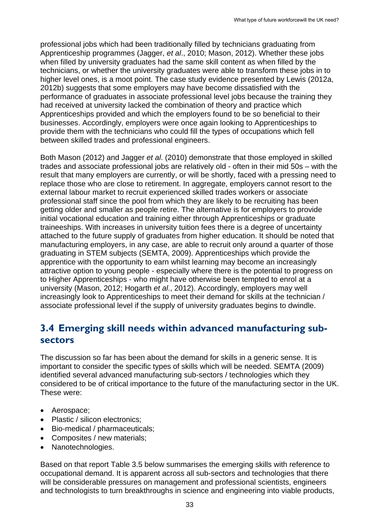professional jobs which had been traditionally filled by technicians graduating from Apprenticeship programmes (Jagger, *et al*., 2010; Mason, 2012). Whether these jobs when filled by university graduates had the same skill content as when filled by the technicians, or whether the university graduates were able to transform these jobs in to higher level ones, is a moot point. The case study evidence presented by Lewis (2012a, 2012b) suggests that some employers may have become dissatisfied with the performance of graduates in associate professional level jobs because the training they had received at university lacked the combination of theory and practice which Apprenticeships provided and which the employers found to be so beneficial to their businesses. Accordingly, employers were once again looking to Apprenticeships to provide them with the technicians who could fill the types of occupations which fell between skilled trades and professional engineers.

Both Mason (2012) and Jagger *et al*. (2010) demonstrate that those employed in skilled trades and associate professional jobs are relatively old - often in their mid 50s – with the result that many employers are currently, or will be shortly, faced with a pressing need to replace those who are close to retirement. In aggregate, employers cannot resort to the external labour market to recruit experienced skilled trades workers or associate professional staff since the pool from which they are likely to be recruiting has been getting older and smaller as people retire. The alternative is for employers to provide initial vocational education and training either through Apprenticeships or graduate traineeships. With increases in university tuition fees there is a degree of uncertainty attached to the future supply of graduates from higher education. It should be noted that manufacturing employers, in any case, are able to recruit only around a quarter of those graduating in STEM subjects (SEMTA, 2009). Apprenticeships which provide the apprentice with the opportunity to earn whilst learning may become an increasingly attractive option to young people - especially where there is the potential to progress on to Higher Apprenticeships - who might have otherwise been tempted to enrol at a university (Mason, 2012; Hogarth *et al*., 2012). Accordingly, employers may well increasingly look to Apprenticeships to meet their demand for skills at the technician / associate professional level if the supply of university graduates begins to dwindle.

### <span id="page-32-0"></span>**3.4 Emerging skill needs within advanced manufacturing subsectors**

The discussion so far has been about the demand for skills in a generic sense. It is important to consider the specific types of skills which will be needed. SEMTA (2009) identified several advanced manufacturing sub-sectors / technologies which they considered to be of critical importance to the future of the manufacturing sector in the UK. These were:

- Aerospace;
- Plastic / silicon electronics:
- Bio-medical / pharmaceuticals;
- Composites / new materials;
- Nanotechnologies.

Based on that report Table 3.5 below summarises the emerging skills with reference to occupational demand. It is apparent across all sub-sectors and technologies that there will be considerable pressures on management and professional scientists, engineers and technologists to turn breakthroughs in science and engineering into viable products,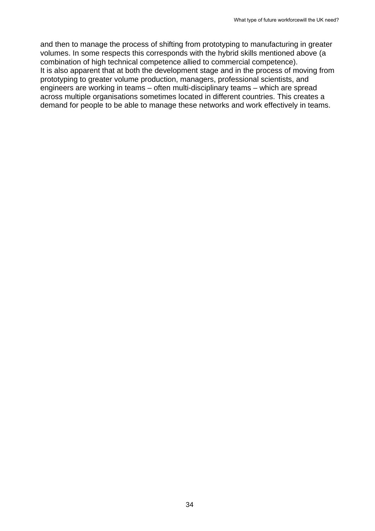and then to manage the process of shifting from prototyping to manufacturing in greater volumes. In some respects this corresponds with the hybrid skills mentioned above (a combination of high technical competence allied to commercial competence). It is also apparent that at both the development stage and in the process of moving from prototyping to greater volume production, managers, professional scientists, and engineers are working in teams – often multi-disciplinary teams – which are spread across multiple organisations sometimes located in different countries. This creates a demand for people to be able to manage these networks and work effectively in teams.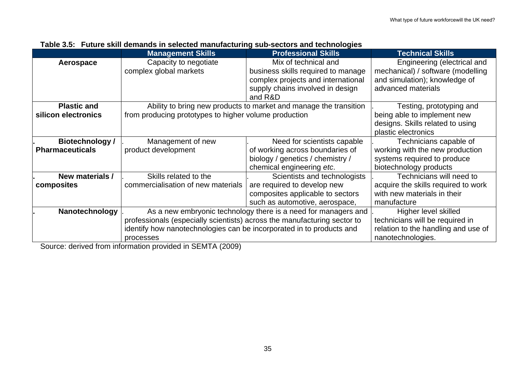|                        | <b>Management Skills</b>                                             | <b>Professional Skills</b>                                               | <b>Technical Skills</b>             |
|------------------------|----------------------------------------------------------------------|--------------------------------------------------------------------------|-------------------------------------|
| Aerospace              | Capacity to negotiate                                                | Mix of technical and                                                     | Engineering (electrical and         |
|                        | complex global markets                                               | business skills required to manage                                       | mechanical) / software (modelling   |
|                        |                                                                      | complex projects and international                                       | and simulation); knowledge of       |
|                        |                                                                      | supply chains involved in design                                         | advanced materials                  |
|                        |                                                                      | and R&D                                                                  |                                     |
| <b>Plastic and</b>     |                                                                      | Ability to bring new products to market and manage the transition        | Testing, prototyping and            |
| silicon electronics    | from producing prototypes to higher volume production                |                                                                          | being able to implement new         |
|                        |                                                                      |                                                                          | designs. Skills related to using    |
|                        |                                                                      |                                                                          | plastic electronics                 |
| Biotechnology /        | Management of new                                                    | Need for scientists capable                                              | Technicians capable of              |
| <b>Pharmaceuticals</b> | product development                                                  | of working across boundaries of                                          | working with the new production     |
|                        |                                                                      | biology / genetics / chemistry /                                         | systems required to produce         |
|                        |                                                                      | chemical engineering etc.                                                | biotechnology products              |
| New materials /        | Skills related to the                                                | Scientists and technologists                                             | Technicians will need to            |
| composites             | commercialisation of new materials                                   | are required to develop new                                              | acquire the skills required to work |
|                        |                                                                      | composites applicable to sectors                                         | with new materials in their         |
|                        |                                                                      | such as automotive, aerospace,                                           | manufacture                         |
| Nanotechnology         |                                                                      | As a new embryonic technology there is a need for managers and           |                                     |
|                        |                                                                      | professionals (especially scientists) across the manufacturing sector to |                                     |
|                        | identify how nanotechnologies can be incorporated in to products and |                                                                          | relation to the handling and use of |
|                        | processes                                                            |                                                                          | nanotechnologies.                   |

|  | Table 3.5: Future skill demands in selected manufacturing sub-sectors and technologies |  |  |
|--|----------------------------------------------------------------------------------------|--|--|
|--|----------------------------------------------------------------------------------------|--|--|

Source: derived from information provided in SEMTA (2009)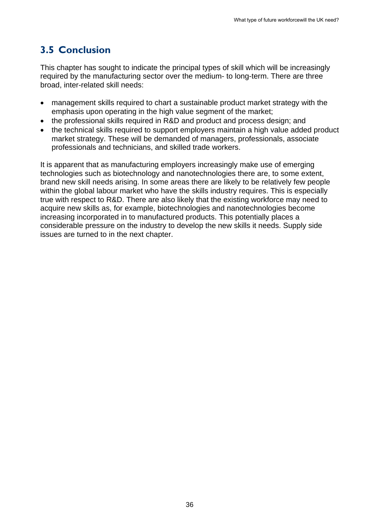## **3.5 Conclusion**

<span id="page-35-0"></span>This chapter has sought to indicate the principal types of skill which will be increasingly required by the manufacturing sector over the medium- to long-term. There are three broad, inter-related skill needs:

- management skills required to chart a sustainable product market strategy with the emphasis upon operating in the high value segment of the market;
- the professional skills required in R&D and product and process design; and
- the technical skills required to support employers maintain a high value added product market strategy. These will be demanded of managers, professionals, associate professionals and technicians, and skilled trade workers.

It is apparent that as manufacturing employers increasingly make use of emerging technologies such as biotechnology and nanotechnologies there are, to some extent, brand new skill needs arising. In some areas there are likely to be relatively few people within the global labour market who have the skills industry requires. This is especially true with respect to R&D. There are also likely that the existing workforce may need to acquire new skills as, for example, biotechnologies and nanotechnologies become increasing incorporated in to manufactured products. This potentially places a considerable pressure on the industry to develop the new skills it needs. Supply side issues are turned to in the next chapter.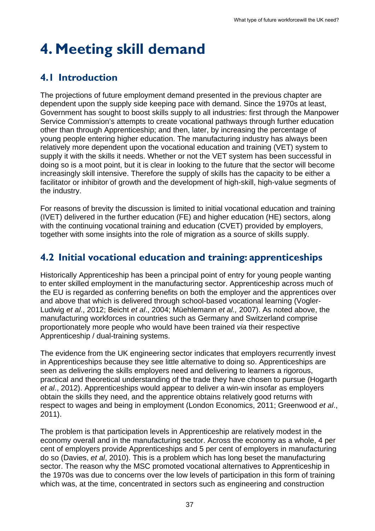## <span id="page-36-0"></span>**4. Meeting skill demand**

## <span id="page-36-1"></span>**4.1 Introduction**

The projections of future employment demand presented in the previous chapter are dependent upon the supply side keeping pace with demand. Since the 1970s at least, Government has sought to boost skills supply to all industries: first through the Manpower Service Commission's attempts to create vocational pathways through further education other than through Apprenticeship; and then, later, by increasing the percentage of young people entering higher education. The manufacturing industry has always been relatively more dependent upon the vocational education and training (VET) system to supply it with the skills it needs. Whether or not the VET system has been successful in doing so is a moot point, but it is clear in looking to the future that the sector will become increasingly skill intensive. Therefore the supply of skills has the capacity to be either a facilitator or inhibitor of growth and the development of high-skill, high-value segments of the industry.

For reasons of brevity the discussion is limited to initial vocational education and training (IVET) delivered in the further education (FE) and higher education (HE) sectors, along with the continuing vocational training and education (CVET) provided by employers, together with some insights into the role of migration as a source of skills supply.

## <span id="page-36-2"></span>**4.2 Initial vocational education and training: apprenticeships**

Historically Apprenticeship has been a principal point of entry for young people wanting to enter skilled employment in the manufacturing sector. Apprenticeship across much of the EU is regarded as conferring benefits on both the employer and the apprentices over and above that which is delivered through school-based vocational learning (Vogler-Ludwig *et al*., 2012; Beicht *et al*., 2004; Müehlemann *et al.,* 2007). As noted above, the manufacturing workforces in countries such as Germany and Switzerland comprise proportionately more people who would have been trained *via* their respective Apprenticeship / dual-training systems.

The evidence from the UK engineering sector indicates that employers recurrently invest in Apprenticeships because they see little alternative to doing so. Apprenticeships are seen as delivering the skills employers need and delivering to learners a rigorous, practical and theoretical understanding of the trade they have chosen to pursue (Hogarth *et al*., 2012). Apprenticeships would appear to deliver a win-win insofar as employers obtain the skills they need, and the apprentice obtains relatively good returns with respect to wages and being in employment (London Economics, 2011; Greenwood *et al*., 2011).

The problem is that participation levels in Apprenticeship are relatively modest in the economy overall and in the manufacturing sector. Across the economy as a whole, 4 per cent of employers provide Apprenticeships and 5 per cent of employers in manufacturing do so (Davies, *et al*, 2010). This is a problem which has long beset the manufacturing sector. The reason why the MSC promoted vocational alternatives to Apprenticeship in the 1970s was due to concerns over the low levels of participation in this form of training which was, at the time, concentrated in sectors such as engineering and construction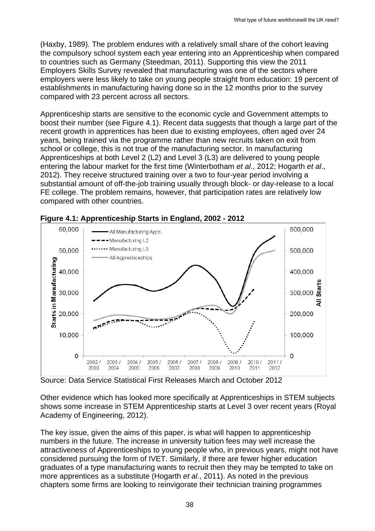(Haxby, 1989). The problem endures with a relatively small share of the cohort leaving the compulsory school system each year entering into an Apprenticeship when compared to countries such as Germany (Steedman, 2011). Supporting this view the 2011 Employers Skills Survey revealed that manufacturing was one of the sectors where employers were less likely to take on young people straight from education: 19 percent of establishments in manufacturing having done so in the 12 months prior to the survey compared with 23 percent across all sectors.

Apprenticeship starts are sensitive to the economic cycle and Government attempts to boost their number (see Figure 4.1). Recent data suggests that though a large part of the recent growth in apprentices has been due to existing employees, often aged over 24 years, being trained via the programme rather than new recruits taken on exit from school or college, this is not true of the manufacturing sector. In manufacturing Apprenticeships at both Level 2 (L2) and Level 3 (L3) are delivered to young people entering the labour market for the first time (Winterbotham *et al*., 2012; Hogarth *et al*., 2012). They receive structured training over a two to four-year period involving a substantial amount of off-the-job training usually through block- or day-release to a local FE college. The problem remains, however, that participation rates are relatively low compared with other countries.



**Figure 4.1: Apprenticeship Starts in England, 2002 - 2012** 

Source: Data Service Statistical First Releases March and October 2012

Other evidence which has looked more specifically at Apprenticeships in STEM subjects shows some increase in STEM Apprenticeship starts at Level 3 over recent years (Royal Academy of Engineering, 2012).

The key issue, given the aims of this paper, is what will happen to apprenticeship numbers in the future. The increase in university tuition fees may well increase the attractiveness of Apprenticeships to young people who, in previous years, might not have considered pursuing the form of IVET. Similarly, if there are fewer higher education graduates of a type manufacturing wants to recruit then they may be tempted to take on more apprentices as a substitute (Hogarth *et al*., 2011). As noted in the previous chapters some firms are looking to reinvigorate their technician training programmes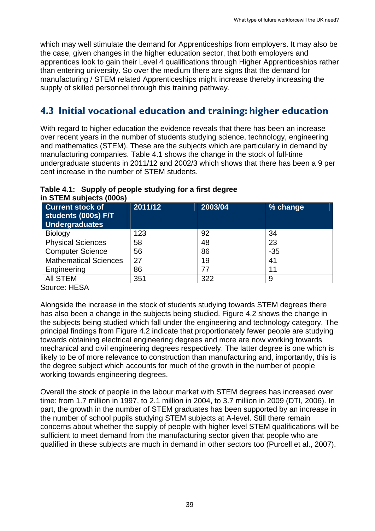which may well stimulate the demand for Apprenticeships from employers. It may also be the case, given changes in the higher education sector, that both employers and apprentices look to gain their Level 4 qualifications through Higher Apprenticeships rather than entering university. So over the medium there are signs that the demand for manufacturing / STEM related Apprenticeships might increase thereby increasing the supply of skilled personnel through this training pathway.

## <span id="page-38-0"></span>**4.3 Initial vocational education and training: higher education**

With regard to higher education the evidence reveals that there has been an increase over recent years in the number of students studying science, technology, engineering and mathematics (STEM). These are the subjects which are particularly in demand by manufacturing companies. Table 4.1 shows the change in the stock of full-time undergraduate students in 2011/12 and 2002/3 which shows that there has been a 9 per cent increase in the number of STEM students.

| Table 4.1: Supply of people studying for a first degree |  |
|---------------------------------------------------------|--|
| in STEM subjects (000s)                                 |  |

| <b>Current stock of</b><br>students (000s) F/T<br>Undergraduates | 2011/12 | 2003/04 | % change |
|------------------------------------------------------------------|---------|---------|----------|
| Biology                                                          | 123     | 92      | 34       |
| <b>Physical Sciences</b>                                         | 58      | 48      | 23       |
| <b>Computer Science</b>                                          | 56      | 86      | $-35$    |
| <b>Mathematical Sciences</b>                                     | 27      | 19      | 41       |
| Engineering                                                      | 86      | 77      | 11       |
| <b>AII STEM</b>                                                  | 351     | 322     | 9        |

Source: HESA

Alongside the increase in the stock of students studying towards STEM degrees there has also been a change in the subjects being studied. Figure 4.2 shows the change in the subjects being studied which fall under the engineering and technology category. The principal findings from Figure 4.2 indicate that proportionately fewer people are studying towards obtaining electrical engineering degrees and more are now working towards mechanical and civil engineering degrees respectively. The latter degree is one which is likely to be of more relevance to construction than manufacturing and, importantly, this is the degree subject which accounts for much of the growth in the number of people working towards engineering degrees.

Overall the stock of people in the labour market with STEM degrees has increased over time: from 1.7 million in 1997, to 2.1 million in 2004, to 3.7 million in 2009 (DTI, 2006). In part, the growth in the number of STEM graduates has been supported by an increase in the number of school pupils studying STEM subjects at A-level. Still there remain concerns about whether the supply of people with higher level STEM qualifications will be sufficient to meet demand from the manufacturing sector given that people who are qualified in these subjects are much in demand in other sectors too (Purcell et al., 2007).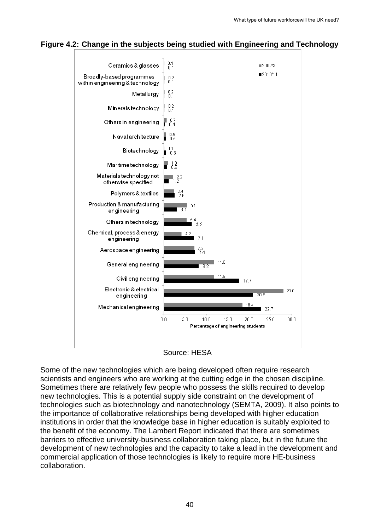#### **Figure 4.2: Change in the subjects being studied with Engineering and Technology**



Source: HESA

Some of the new technologies which are being developed often require research scientists and engineers who are working at the cutting edge in the chosen discipline. Sometimes there are relatively few people who possess the skills required to develop new technologies. This is a potential supply side constraint on the development of technologies such as biotechnology and nanotechnology (SEMTA, 2009). It also points to the importance of collaborative relationships being developed with higher education institutions in order that the knowledge base in higher education is suitably exploited to the benefit of the economy. The Lambert Report indicated that there are sometimes barriers to effective university-business collaboration taking place, but in the future the development of new technologies and the capacity to take a lead in the development and commercial application of those technologies is likely to require more HE-business collaboration.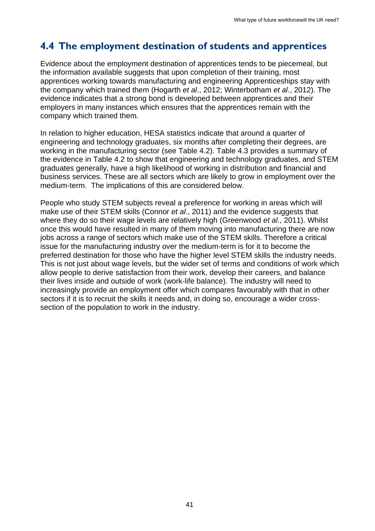## <span id="page-40-0"></span>**4.4 The employment destination of students and apprentices**

Evidence about the employment destination of apprentices tends to be piecemeal, but the information available suggests that upon completion of their training, most apprentices working towards manufacturing and engineering Apprenticeships stay with the company which trained them (Hogarth *et al*., 2012; Winterbotham *et al*., 2012). The evidence indicates that a strong bond is developed between apprentices and their employers in many instances which ensures that the apprentices remain with the company which trained them.

In relation to higher education, HESA statistics indicate that around a quarter of engineering and technology graduates, six months after completing their degrees, are working in the manufacturing sector (see Table 4.2). Table 4.3 provides a summary of the evidence in Table 4.2 to show that engineering and technology graduates, and STEM graduates generally, have a high likelihood of working in distribution and financial and business services. These are all sectors which are likely to grow in employment over the medium-term. The implications of this are considered below.

People who study STEM subjects reveal a preference for working in areas which will make use of their STEM skills (Connor *et al*., 2011) and the evidence suggests that where they do so their wage levels are relatively high (Greenwood *et al*., 2011). Whilst once this would have resulted in many of them moving into manufacturing there are now jobs across a range of sectors which make use of the STEM skills. Therefore a critical issue for the manufacturing industry over the medium-term is for it to become the preferred destination for those who have the higher level STEM skills the industry needs. This is not just about wage levels, but the wider set of terms and conditions of work which allow people to derive satisfaction from their work, develop their careers, and balance their lives inside and outside of work (work-life balance). The industry will need to increasingly provide an employment offer which compares favourably with that in other sectors if it is to recruit the skills it needs and, in doing so, encourage a wider crosssection of the population to work in the industry.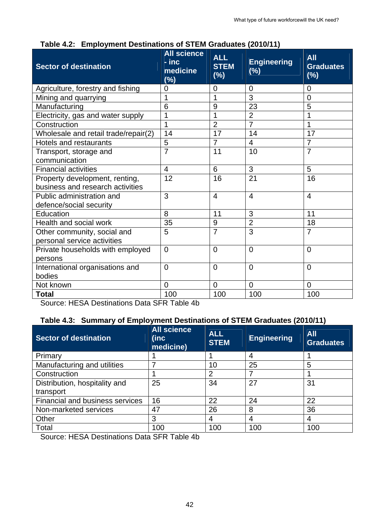| $\frac{1}{2}$                           |                                                   | $100$ of $1 = m$ ordered $200$   |                           |                                          |  |  |
|-----------------------------------------|---------------------------------------------------|----------------------------------|---------------------------|------------------------------------------|--|--|
| <b>Sector of destination</b>            | <b>All science</b><br>- inc<br>medicine<br>$(\%)$ | <b>ALL</b><br><b>STEM</b><br>(%) | <b>Engineering</b><br>(%) | <b>All</b><br><b>Graduates</b><br>$(\%)$ |  |  |
| Agriculture, forestry and fishing       | $\overline{0}$                                    | $\overline{0}$                   | $\overline{0}$            | $\overline{0}$                           |  |  |
| Mining and quarrying                    | 1                                                 | 1                                | 3                         | $\overline{0}$                           |  |  |
| Manufacturing                           | 6                                                 | 9                                | 23                        | 5                                        |  |  |
| Electricity, gas and water supply       | 1                                                 | 1                                | $\overline{2}$            | $\overline{1}$                           |  |  |
| Construction                            | 1                                                 | $\overline{2}$                   | $\overline{7}$            | $\overline{1}$                           |  |  |
| Wholesale and retail trade/repair(2)    | 14                                                | 17                               | 14                        | 17                                       |  |  |
| Hotels and restaurants                  | 5                                                 | $\overline{7}$                   | 4                         | $\overline{7}$                           |  |  |
| Transport, storage and                  | $\overline{7}$                                    | 11                               | 10                        | $\overline{7}$                           |  |  |
| communication                           |                                                   |                                  |                           |                                          |  |  |
| <b>Financial activities</b>             | $\overline{\mathbf{4}}$                           | $6\phantom{1}6$                  | 3                         | 5                                        |  |  |
| Property development, renting,          | 12                                                | 16                               | 21                        | 16                                       |  |  |
| business and research activities        |                                                   |                                  |                           |                                          |  |  |
| Public administration and               | 3                                                 | $\overline{4}$                   | $\overline{4}$            | $\overline{4}$                           |  |  |
| defence/social security                 |                                                   |                                  |                           |                                          |  |  |
| Education                               | 8                                                 | 11                               | 3                         | 11                                       |  |  |
| Health and social work                  | 35                                                | 9                                | $\overline{2}$            | 18                                       |  |  |
| Other community, social and             | 5                                                 | $\overline{7}$                   | 3                         | $\overline{7}$                           |  |  |
| personal service activities             |                                                   |                                  |                           |                                          |  |  |
| Private households with employed        | $\Omega$                                          | $\Omega$                         | $\overline{0}$            | $\overline{0}$                           |  |  |
| persons                                 |                                                   |                                  |                           |                                          |  |  |
| International organisations and         | $\overline{0}$                                    | $\Omega$                         | $\overline{0}$            | $\overline{0}$                           |  |  |
| bodies                                  |                                                   |                                  |                           |                                          |  |  |
| Not known                               | $\overline{0}$                                    | $\mathbf 0$                      | $\mathbf 0$               | $\overline{0}$                           |  |  |
| <b>Total</b>                            | 100                                               | 100                              | 100                       | 100                                      |  |  |
| use UEOA Destinations Data OED Table 4L |                                                   |                                  |                           |                                          |  |  |

**Table 4.2: Employment Destinations of STEM Graduates (2010/11)** 

Source: HESA Destinations Data SFR Table 4b

#### **Table 4.3: Summary of Employment Destinations of STEM Graduates (2010/11)**

| <b>Sector of destination</b>    | <b>All science</b><br>(inc<br>medicine) | <b>ALL</b><br><b>STEM</b> | <b>Engineering</b> | <b>All</b><br><b>Graduates</b> |  |
|---------------------------------|-----------------------------------------|---------------------------|--------------------|--------------------------------|--|
| Primary                         |                                         |                           | 4                  |                                |  |
| Manufacturing and utilities     |                                         | 10                        | 25                 | 5                              |  |
| Construction                    |                                         | 2                         |                    |                                |  |
| Distribution, hospitality and   | 25                                      | 34<br>27                  |                    | 31                             |  |
| transport                       |                                         |                           |                    |                                |  |
| Financial and business services | 16                                      | 22                        | 24                 | 22                             |  |
| Non-marketed services           | 47                                      | 26                        | 8                  | 36                             |  |
| Other                           | 3                                       | 4                         | 4                  | 4                              |  |
| Total                           | 100                                     | 100                       | 100                | 100                            |  |

Source: HESA Destinations Data SFR Table 4b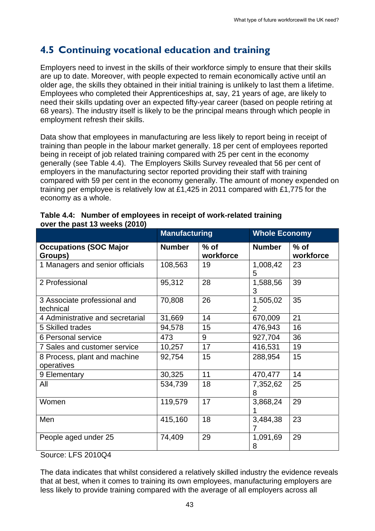## <span id="page-42-0"></span>**4.5 Continuing vocational education and training**

Employers need to invest in the skills of their workforce simply to ensure that their skills are up to date. Moreover, with people expected to remain economically active until an older age, the skills they obtained in their initial training is unlikely to last them a lifetime. Employees who completed their Apprenticeships at, say, 21 years of age, are likely to need their skills updating over an expected fifty-year career (based on people retiring at 68 years). The industry itself is likely to be the principal means through which people in employment refresh their skills.

Data show that employees in manufacturing are less likely to report being in receipt of training than people in the labour market generally. 18 per cent of employees reported being in receipt of job related training compared with 25 per cent in the economy generally (see Table 4.4). The Employers Skills Survey revealed that 56 per cent of employers in the manufacturing sector reported providing their staff with training compared with 59 per cent in the economy generally. The amount of money expended on training per employee is relatively low at £1,425 in 2011 compared with £1,775 for the economy as a whole.

|                                            | <b>Manufacturing</b> |                     | <b>Whole Economy</b> |                     |  |  |
|--------------------------------------------|----------------------|---------------------|----------------------|---------------------|--|--|
| <b>Occupations (SOC Major</b><br>Groups)   | <b>Number</b>        | $%$ of<br>workforce | <b>Number</b>        | $%$ of<br>workforce |  |  |
| 1 Managers and senior officials            | 108,563              | 19                  | 1,008,42<br>5        | 23                  |  |  |
| 2 Professional                             | 95,312               | 28                  | 1,588,56<br>3        | 39                  |  |  |
| 3 Associate professional and<br>technical  | 70,808               | 26                  | 1,505,02<br>2        | 35                  |  |  |
| 4 Administrative and secretarial           | 31,669               | 14                  | 670,009              | 21                  |  |  |
| 5 Skilled trades                           | 94,578               | 15                  | 476,943              | 16                  |  |  |
| 6 Personal service                         | 473                  | 9                   | 927,704              | 36                  |  |  |
| 7 Sales and customer service               | 10,257               | 17                  | 416,531              | 19                  |  |  |
| 8 Process, plant and machine<br>operatives | 92,754               | 15                  | 288,954              | 15                  |  |  |
| 9 Elementary                               | 30,325               | 11                  | 470,477              | 14                  |  |  |
| All                                        | 534,739              | 18                  | 7,352,62<br>8        | 25                  |  |  |
| Women                                      | 119,579              | 17                  | 3,868,24             | 29                  |  |  |
| Men                                        | 415,160              | 18                  | 3,484,38             | 23                  |  |  |
| People aged under 25                       | 74,409               | 29                  | 1,091,69<br>8        | 29                  |  |  |

#### **Table 4.4: Number of employees in receipt of work-related training over the past 13 weeks (2010)**

Source: LFS 2010Q4

The data indicates that whilst considered a relatively skilled industry the evidence reveals that at best, when it comes to training its own employees, manufacturing employers are less likely to provide training compared with the average of all employers across all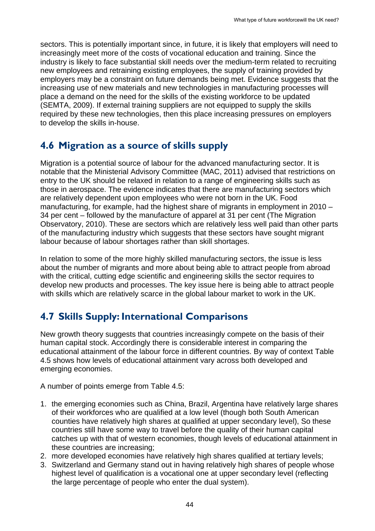sectors. This is potentially important since, in future, it is likely that employers will need to increasingly meet more of the costs of vocational education and training. Since the industry is likely to face substantial skill needs over the medium-term related to recruiting new employees and retraining existing employees, the supply of training provided by employers may be a constraint on future demands being met. Evidence suggests that the increasing use of new materials and new technologies in manufacturing processes will place a demand on the need for the skills of the existing workforce to be updated (SEMTA, 2009). If external training suppliers are not equipped to supply the skills required by these new technologies, then this place increasing pressures on employers to develop the skills in-house.

### <span id="page-43-0"></span>**4.6 Migration as a source of skills supply**

Migration is a potential source of labour for the advanced manufacturing sector. It is notable that the Ministerial Advisory Committee (MAC, 2011) advised that restrictions on entry to the UK should be relaxed in relation to a range of engineering skills such as those in aerospace. The evidence indicates that there are manufacturing sectors which are relatively dependent upon employees who were not born in the UK. Food manufacturing, for example, had the highest share of migrants in employment in 2010 – 34 per cent – followed by the manufacture of apparel at 31 per cent (The Migration Observatory, 2010). These are sectors which are relatively less well paid than other parts of the manufacturing industry which suggests that these sectors have sought migrant labour because of labour shortages rather than skill shortages.

In relation to some of the more highly skilled manufacturing sectors, the issue is less about the number of migrants and more about being able to attract people from abroad with the critical, cutting edge scientific and engineering skills the sector requires to develop new products and processes. The key issue here is being able to attract people with skills which are relatively scarce in the global labour market to work in the UK.

## <span id="page-43-1"></span>**4.7 Skills Supply: International Comparisons**

New growth theory suggests that countries increasingly compete on the basis of their human capital stock. Accordingly there is considerable interest in comparing the educational attainment of the labour force in different countries. By way of context Table 4.5 shows how levels of educational attainment vary across both developed and emerging economies.

A number of points emerge from Table 4.5:

- 1. the emerging economies such as China, Brazil, Argentina have relatively large shares of their workforces who are qualified at a low level (though both South American counties have relatively high shares at qualified at upper secondary level), So these countries still have some way to travel before the quality of their human capital catches up with that of western economies, though levels of educational attainment in these countries are increasing;
- 2. more developed economies have relatively high shares qualified at tertiary levels;
- 3. Switzerland and Germany stand out in having relatively high shares of people whose highest level of qualification is a vocational one at upper secondary level (reflecting the large percentage of people who enter the dual system).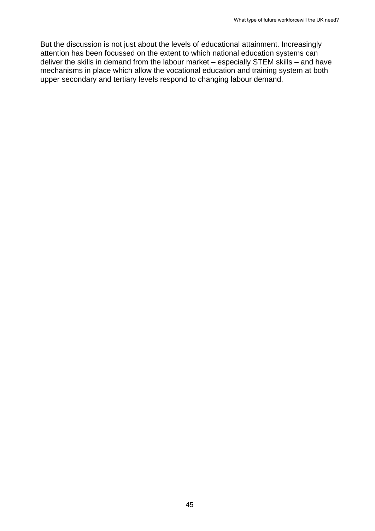But the discussion is not just about the levels of educational attainment. Increasingly attention has been focussed on the extent to which national education systems can deliver the skills in demand from the labour market – especially STEM skills – and have mechanisms in place which allow the vocational education and training system at both upper secondary and tertiary levels respond to changing labour demand.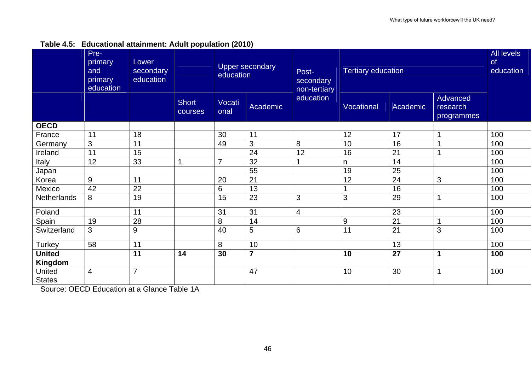|  |  | Table 4.5: Educational attainment: Adult population (2010) |  |  |
|--|--|------------------------------------------------------------|--|--|
|--|--|------------------------------------------------------------|--|--|

|                          | Pre-<br>primary<br>and<br>primary<br>education | Lower<br>secondary<br>education |                         | <b>Upper secondary</b><br>education |                | Post-<br>secondary<br>non-tertiary | <b>Tertiary education</b> |          |                                           | <b>All levels</b><br>of<br>education |
|--------------------------|------------------------------------------------|---------------------------------|-------------------------|-------------------------------------|----------------|------------------------------------|---------------------------|----------|-------------------------------------------|--------------------------------------|
|                          |                                                |                                 | <b>Short</b><br>courses | Vocati<br>onal                      | Academic       | education                          | Vocational                | Academic | <b>Advanced</b><br>research<br>programmes |                                      |
| <b>OECD</b>              |                                                |                                 |                         |                                     |                |                                    |                           |          |                                           |                                      |
| France                   | 11                                             | 18                              |                         | 30                                  | 11             |                                    | 12                        | 17       | 1                                         | 100                                  |
| Germany                  | 3                                              | 11                              |                         | 49                                  | 3              | 8                                  | 10                        | 16       | 1                                         | 100                                  |
| Ireland                  | 11                                             | 15                              |                         |                                     | 24             | 12                                 | 16                        | 21       | 1                                         | 100                                  |
| Italy                    | 12                                             | 33                              |                         | $\overline{7}$                      | 32             |                                    | n                         | 14       |                                           | 100                                  |
| Japan                    |                                                |                                 |                         |                                     | 55             |                                    | 19                        | 25       |                                           | 100                                  |
| Korea                    | 9                                              | 11                              |                         | 20                                  | 21             |                                    | 12                        | 24       | 3                                         | 100                                  |
| Mexico                   | 42                                             | 22                              |                         | 6                                   | 13             |                                    |                           | 16       |                                           | 100                                  |
| Netherlands              | 8                                              | 19                              |                         | 15                                  | 23             | 3                                  | 3                         | 29       | 1                                         | 100                                  |
| Poland                   |                                                | 11                              |                         | 31                                  | 31             | 4                                  |                           | 23       |                                           | 100                                  |
| Spain                    | 19                                             | 28                              |                         | 8                                   | 14             |                                    | 9                         | 21       | 1                                         | 100                                  |
| Switzerland              | 3                                              | 9                               |                         | 40                                  | 5              | 6                                  | 11                        | 21       | 3                                         | 100                                  |
| <b>Turkey</b>            | 58                                             | 11                              |                         | 8                                   | 10             |                                    |                           | 13       |                                           | 100                                  |
| <b>United</b><br>Kingdom |                                                | 11                              | 14                      | 30                                  | $\overline{7}$ |                                    | 10                        | 27       | 1                                         | 100                                  |
| United<br><b>States</b>  | $\overline{4}$                                 | $\overline{7}$                  |                         |                                     | 47             |                                    | 10                        | 30       | 1                                         | 100                                  |

Source: OECD Education at a Glance Table 1A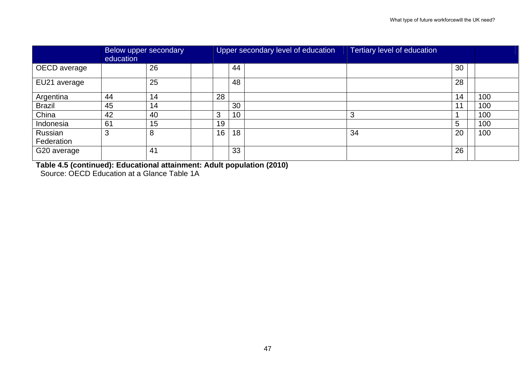|                       | Below upper secondary<br>education |    |    |    | Upper secondary level of education | Tertiary level of education |    |     |
|-----------------------|------------------------------------|----|----|----|------------------------------------|-----------------------------|----|-----|
| OECD average          |                                    | 26 |    | 44 |                                    |                             | 30 |     |
| EU21 average          |                                    | 25 |    | 48 |                                    |                             | 28 |     |
| Argentina             | 44                                 | 14 | 28 |    |                                    |                             | 14 | 100 |
| <b>Brazil</b>         | 45                                 | 14 |    | 30 |                                    |                             | 11 | 100 |
| China                 | 42                                 | 40 | 3  | 10 |                                    |                             |    | 100 |
| Indonesia             | 61                                 | 15 | 19 |    |                                    |                             | 5  | 100 |
| Russian<br>Federation | 3                                  | 8  | 16 | 18 |                                    | 34                          | 20 | 100 |
| G20 average           |                                    | 41 |    | 33 |                                    |                             | 26 |     |

**Table 4.5 (continued): Educational attainment: Adult population (2010)**  Source: OECD Education at a Glance Table 1A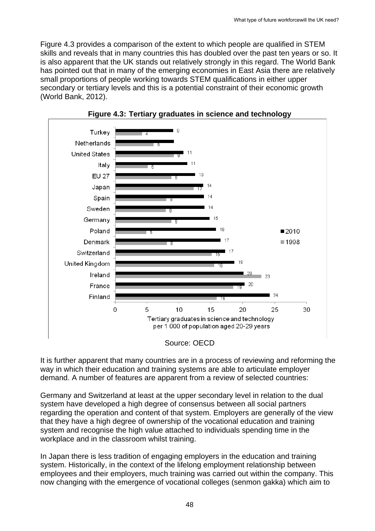Figure 4.3 provides a comparison of the extent to which people are qualified in STEM skills and reveals that in many countries this has doubled over the past ten years or so. It is also apparent that the UK stands out relatively strongly in this regard. The World Bank has pointed out that in many of the emerging economies in East Asia there are relatively small proportions of people working towards STEM qualifications in either upper secondary or tertiary levels and this is a potential constraint of their economic growth (World Bank, 2012).





It is further apparent that many countries are in a process of reviewing and reforming the way in which their education and training systems are able to articulate employer demand. A number of features are apparent from a review of selected countries:

Germany and Switzerland at least at the upper secondary level in relation to the dual system have developed a high degree of consensus between all social partners regarding the operation and content of that system. Employers are generally of the view that they have a high degree of ownership of the vocational education and training system and recognise the high value attached to individuals spending time in the workplace and in the classroom whilst training.

In Japan there is less tradition of engaging employers in the education and training system. Historically, in the context of the lifelong employment relationship between employees and their employers, much training was carried out within the company. This now changing with the emergence of vocational colleges (senmon gakka) which aim to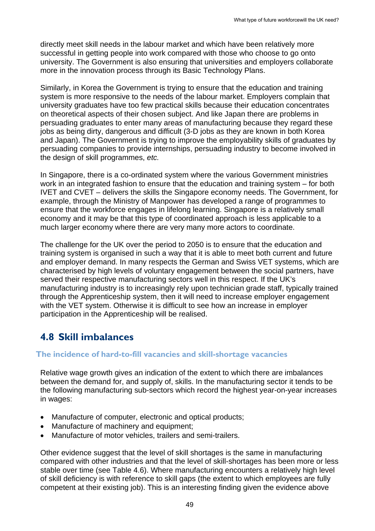directly meet skill needs in the labour market and which have been relatively more successful in getting people into work compared with those who choose to go onto university. The Government is also ensuring that universities and employers collaborate more in the innovation process through its Basic Technology Plans.

Similarly, in Korea the Government is trying to ensure that the education and training system is more responsive to the needs of the labour market. Employers complain that university graduates have too few practical skills because their education concentrates on theoretical aspects of their chosen subject. And like Japan there are problems in persuading graduates to enter many areas of manufacturing because they regard these jobs as being dirty, dangerous and difficult (3-D jobs as they are known in both Korea and Japan). The Government is trying to improve the employability skills of graduates by persuading companies to provide internships, persuading industry to become involved in the design of skill programmes, *etc.* 

In Singapore, there is a co-ordinated system where the various Government ministries work in an integrated fashion to ensure that the education and training system – for both IVET and CVET – delivers the skills the Singapore economy needs. The Government, for example, through the Ministry of Manpower has developed a range of programmes to ensure that the workforce engages in lifelong learning. Singapore is a relatively small economy and it may be that this type of coordinated approach is less applicable to a much larger economy where there are very many more actors to coordinate.

The challenge for the UK over the period to 2050 is to ensure that the education and training system is organised in such a way that it is able to meet both current and future and employer demand. In many respects the German and Swiss VET systems, which are characterised by high levels of voluntary engagement between the social partners, have served their respective manufacturing sectors well in this respect. If the UK's manufacturing industry is to increasingly rely upon technician grade staff, typically trained through the Apprenticeship system, then it will need to increase employer engagement with the VET system. Otherwise it is difficult to see how an increase in employer participation in the Apprenticeship will be realised.

## **4.8 Skill imbalances**

#### <span id="page-48-0"></span>**The incidence of hard-to-fill vacancies and skill-shortage vacancies**

Relative wage growth gives an indication of the extent to which there are imbalances between the demand for, and supply of, skills. In the manufacturing sector it tends to be the following manufacturing sub-sectors which record the highest year-on-year increases in wages:

- Manufacture of computer, electronic and optical products;
- Manufacture of machinery and equipment;
- Manufacture of motor vehicles, trailers and semi-trailers.

Other evidence suggest that the level of skill shortages is the same in manufacturing compared with other industries and that the level of skill-shortages has been more or less stable over time (see Table 4.6). Where manufacturing encounters a relatively high level of skill deficiency is with reference to skill gaps (the extent to which employees are fully competent at their existing job). This is an interesting finding given the evidence above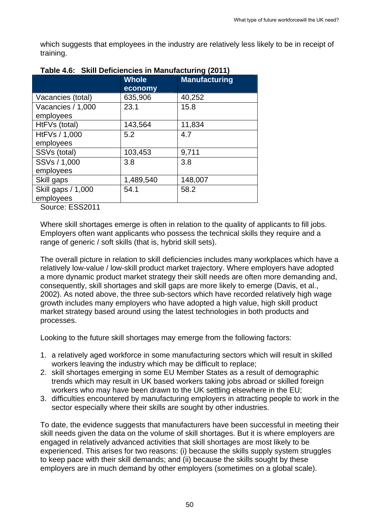which suggests that employees in the industry are relatively less likely to be in receipt of training.

| <b>Whole</b><br>economy | <b>Manufacturing</b> |
|-------------------------|----------------------|
| 635,906                 | 40,252               |
| 23.1                    | 15.8                 |
|                         |                      |
|                         | 11,834               |
| 5.2                     | 4.7                  |
|                         |                      |
| 103,453                 | 9,711                |
| 3.8                     | 3.8                  |
|                         |                      |
| 1,489,540               | 148,007              |
| 54.1                    | 58.2                 |
|                         |                      |
|                         | 143,564              |

#### **Table 4.6: Skill Deficiencies in Manufacturing (2011)**

Source: ESS2011

Where skill shortages emerge is often in relation to the quality of applicants to fill jobs. Employers often want applicants who possess the technical skills they require and a range of generic / soft skills (that is, hybrid skill sets).

The overall picture in relation to skill deficiencies includes many workplaces which have a relatively low-value / low-skill product market trajectory. Where employers have adopted a more dynamic product market strategy their skill needs are often more demanding and, consequently, skill shortages and skill gaps are more likely to emerge (Davis, et al., 2002). As noted above, the three sub-sectors which have recorded relatively high wage growth includes many employers who have adopted a high value, high skill product market strategy based around using the latest technologies in both products and processes.

Looking to the future skill shortages may emerge from the following factors:

- 1. a relatively aged workforce in some manufacturing sectors which will result in skilled workers leaving the industry which may be difficult to replace;
- 2. skill shortages emerging in some EU Member States as a result of demographic trends which may result in UK based workers taking jobs abroad or skilled foreign workers who may have been drawn to the UK settling elsewhere in the EU;
- 3. difficulties encountered by manufacturing employers in attracting people to work in the sector especially where their skills are sought by other industries.

To date, the evidence suggests that manufacturers have been successful in meeting their skill needs given the data on the volume of skill shortages. But it is where employers are engaged in relatively advanced activities that skill shortages are most likely to be experienced. This arises for two reasons: (i) because the skills supply system struggles to keep pace with their skill demands; and (ii) because the skills sought by these employers are in much demand by other employers (sometimes on a global scale).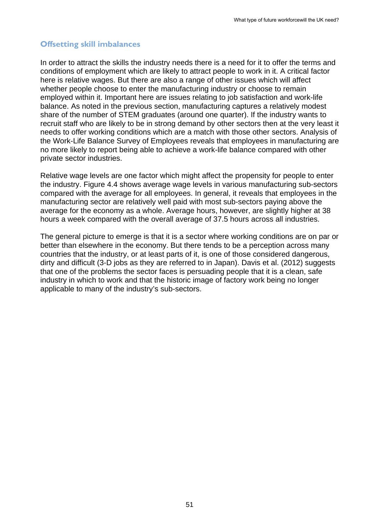#### **Offsetting skill imbalances**

In order to attract the skills the industry needs there is a need for it to offer the terms and conditions of employment which are likely to attract people to work in it. A critical factor here is relative wages. But there are also a range of other issues which will affect whether people choose to enter the manufacturing industry or choose to remain employed within it. Important here are issues relating to job satisfaction and work-life balance. As noted in the previous section, manufacturing captures a relatively modest share of the number of STEM graduates (around one quarter). If the industry wants to recruit staff who are likely to be in strong demand by other sectors then at the very least it needs to offer working conditions which are a match with those other sectors. Analysis of the Work-Life Balance Survey of Employees reveals that employees in manufacturing are no more likely to report being able to achieve a work-life balance compared with other private sector industries.

Relative wage levels are one factor which might affect the propensity for people to enter the industry. Figure 4.4 shows average wage levels in various manufacturing sub-sectors compared with the average for all employees. In general, it reveals that employees in the manufacturing sector are relatively well paid with most sub-sectors paying above the average for the economy as a whole. Average hours, however, are slightly higher at 38 hours a week compared with the overall average of 37.5 hours across all industries.

The general picture to emerge is that it is a sector where working conditions are on par or better than elsewhere in the economy. But there tends to be a perception across many countries that the industry, or at least parts of it, is one of those considered dangerous, dirty and difficult (3-D jobs as they are referred to in Japan). Davis et al. (2012) suggests that one of the problems the sector faces is persuading people that it is a clean, safe industry in which to work and that the historic image of factory work being no longer applicable to many of the industry's sub-sectors.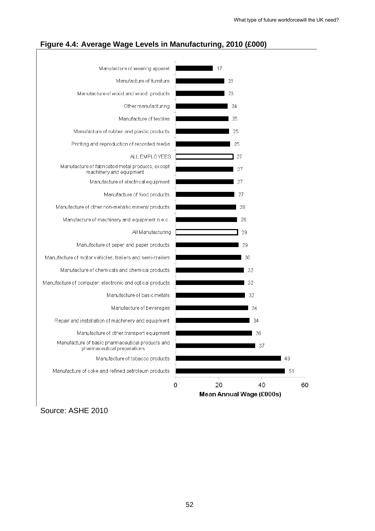

#### **Figure 4.4: Average Wage Levels in Manufacturing, 2010 (£000)**

Source: ASHE 2010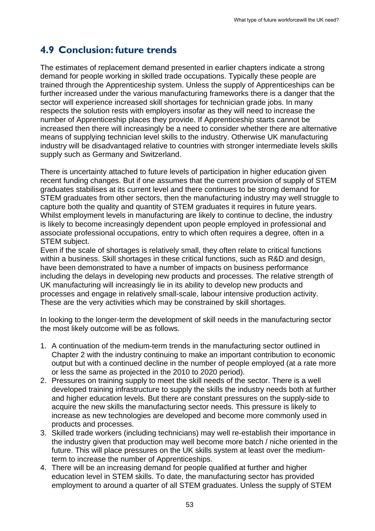## **4.9 Conclusion: future trends**

<span id="page-52-0"></span>The estimates of replacement demand presented in earlier chapters indicate a strong demand for people working in skilled trade occupations. Typically these people are trained through the Apprenticeship system. Unless the supply of Apprenticeships can be further increased under the various manufacturing frameworks there is a danger that the sector will experience increased skill shortages for technician grade jobs. In many respects the solution rests with employers insofar as they will need to increase the number of Apprenticeship places they provide. If Apprenticeship starts cannot be increased then there will increasingly be a need to consider whether there are alternative means of supplying technician level skills to the industry. Otherwise UK manufacturing industry will be disadvantaged relative to countries with stronger intermediate levels skills supply such as Germany and Switzerland.

There is uncertainty attached to future levels of participation in higher education given recent funding changes. But if one assumes that the current provision of supply of STEM graduates stabilises at its current level and there continues to be strong demand for STEM graduates from other sectors, then the manufacturing industry may well struggle to capture both the quality and quantity of STEM graduates it requires in future years. Whilst employment levels in manufacturing are likely to continue to decline, the industry is likely to become increasingly dependent upon people employed in professional and associate professional occupations, entry to which often requires a degree, often in a STEM subject.

Even if the scale of shortages is relatively small, they often relate to critical functions within a business. Skill shortages in these critical functions, such as R&D and design, have been demonstrated to have a number of impacts on business performance including the delays in developing new products and processes. The relative strength of UK manufacturing will increasingly lie in its ability to develop new products and processes and engage in relatively small-scale, labour intensive production activity. These are the very activities which may be constrained by skill shortages.

In looking to the longer-term the development of skill needs in the manufacturing sector the most likely outcome will be as follows.

- 1. A continuation of the medium-term trends in the manufacturing sector outlined in Chapter 2 with the industry continuing to make an important contribution to economic output but with a continued decline in the number of people employed (at a rate more or less the same as projected in the 2010 to 2020 period).
- 2. Pressures on training supply to meet the skill needs of the sector. There is a well developed training infrastructure to supply the skills the industry needs both at further and higher education levels. But there are constant pressures on the supply-side to acquire the new skills the manufacturing sector needs. This pressure is likely to increase as new technologies are developed and become more commonly used in products and processes.
- 3. Skilled trade workers (including technicians) may well re-establish their importance in the industry given that production may well become more batch / niche oriented in the future. This will place pressures on the UK skills system at least over the mediumterm to increase the number of Apprenticeships.
- 4. There will be an increasing demand for people qualified at further and higher education level in STEM skills. To date, the manufacturing sector has provided employment to around a quarter of all STEM graduates. Unless the supply of STEM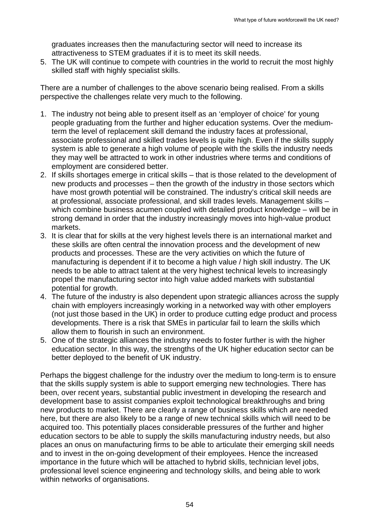graduates increases then the manufacturing sector will need to increase its attractiveness to STEM graduates if it is to meet its skill needs.

5. The UK will continue to compete with countries in the world to recruit the most highly skilled staff with highly specialist skills.

There are a number of challenges to the above scenario being realised. From a skills perspective the challenges relate very much to the following.

- 1. The industry not being able to present itself as an 'employer of choice' for young people graduating from the further and higher education systems. Over the mediumterm the level of replacement skill demand the industry faces at professional, associate professional and skilled trades levels is quite high. Even if the skills supply system is able to generate a high volume of people with the skills the industry needs they may well be attracted to work in other industries where terms and conditions of employment are considered better.
- 2. If skills shortages emerge in critical skills that is those related to the development of new products and processes – then the growth of the industry in those sectors which have most growth potential will be constrained. The industry's critical skill needs are at professional, associate professional, and skill trades levels. Management skills – which combine business acumen coupled with detailed product knowledge – will be in strong demand in order that the industry increasingly moves into high-value product markets.
- 3. It is clear that for skills at the very highest levels there is an international market and these skills are often central the innovation process and the development of new products and processes. These are the very activities on which the future of manufacturing is dependent if it to become a high value / high skill industry. The UK needs to be able to attract talent at the very highest technical levels to increasingly propel the manufacturing sector into high value added markets with substantial potential for growth.
- 4. The future of the industry is also dependent upon strategic alliances across the supply chain with employers increasingly working in a networked way with other employers (not just those based in the UK) in order to produce cutting edge product and process developments. There is a risk that SMEs in particular fail to learn the skills which allow them to flourish in such an environment.
- 5. One of the strategic alliances the industry needs to foster further is with the higher education sector. In this way, the strengths of the UK higher education sector can be better deployed to the benefit of UK industry.

Perhaps the biggest challenge for the industry over the medium to long-term is to ensure that the skills supply system is able to support emerging new technologies. There has been, over recent years, substantial public investment in developing the research and development base to assist companies exploit technological breakthroughs and bring new products to market. There are clearly a range of business skills which are needed here, but there are also likely to be a range of new technical skills which will need to be acquired too. This potentially places considerable pressures of the further and higher education sectors to be able to supply the skills manufacturing industry needs, but also places an onus on manufacturing firms to be able to articulate their emerging skill needs and to invest in the on-going development of their employees. Hence the increased importance in the future which will be attached to hybrid skills, technician level jobs, professional level science engineering and technology skills, and being able to work within networks of organisations.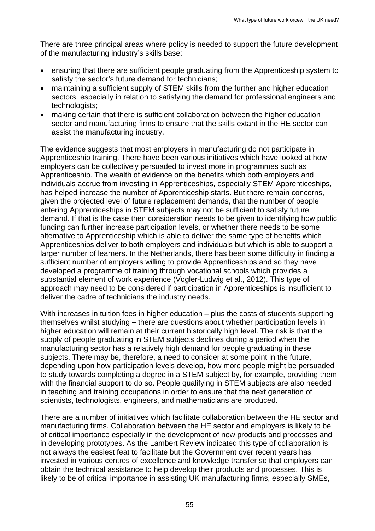There are three principal areas where policy is needed to support the future development of the manufacturing industry's skills base:

- ensuring that there are sufficient people graduating from the Apprenticeship system to satisfy the sector's future demand for technicians;
- maintaining a sufficient supply of STEM skills from the further and higher education sectors, especially in relation to satisfying the demand for professional engineers and technologists;
- making certain that there is sufficient collaboration between the higher education sector and manufacturing firms to ensure that the skills extant in the HE sector can assist the manufacturing industry.

The evidence suggests that most employers in manufacturing do not participate in Apprenticeship training. There have been various initiatives which have looked at how employers can be collectively persuaded to invest more in programmes such as Apprenticeship. The wealth of evidence on the benefits which both employers and individuals accrue from investing in Apprenticeships, especially STEM Apprenticeships, has helped increase the number of Apprenticeship starts. But there remain concerns, given the projected level of future replacement demands, that the number of people entering Apprenticeships in STEM subjects may not be sufficient to satisfy future demand. If that is the case then consideration needs to be given to identifying how public funding can further increase participation levels, or whether there needs to be some alternative to Apprenticeship which is able to deliver the same type of benefits which Apprenticeships deliver to both employers and individuals but which is able to support a larger number of learners. In the Netherlands, there has been some difficulty in finding a sufficient number of employers willing to provide Apprenticeships and so they have developed a programme of training through vocational schools which provides a substantial element of work experience (Vogler-Ludwig et al., 2012). This type of approach may need to be considered if participation in Apprenticeships is insufficient to deliver the cadre of technicians the industry needs.

With increases in tuition fees in higher education – plus the costs of students supporting themselves whilst studying – there are questions about whether participation levels in higher education will remain at their current historically high level. The risk is that the supply of people graduating in STEM subjects declines during a period when the manufacturing sector has a relatively high demand for people graduating in these subjects. There may be, therefore, a need to consider at some point in the future, depending upon how participation levels develop, how more people might be persuaded to study towards completing a degree in a STEM subject by, for example, providing them with the financial support to do so. People qualifying in STEM subjects are also needed in teaching and training occupations in order to ensure that the next generation of scientists, technologists, engineers, and mathematicians are produced.

There are a number of initiatives which facilitate collaboration between the HE sector and manufacturing firms. Collaboration between the HE sector and employers is likely to be of critical importance especially in the development of new products and processes and in developing prototypes. As the Lambert Review indicated this type of collaboration is not always the easiest feat to facilitate but the Government over recent years has invested in various centres of excellence and knowledge transfer so that employers can obtain the technical assistance to help develop their products and processes. This is likely to be of critical importance in assisting UK manufacturing firms, especially SMEs,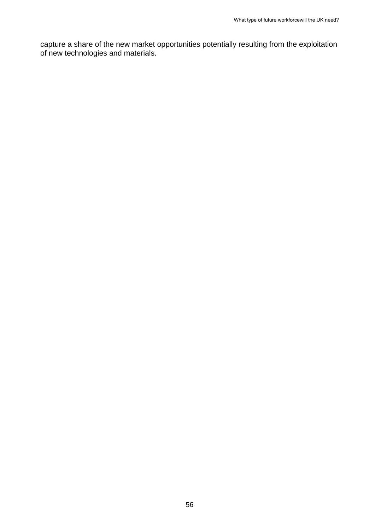capture a share of the new market opportunities potentially resulting from the exploitation of new technologies and materials.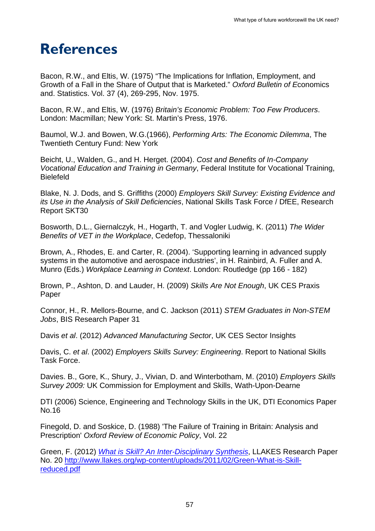## <span id="page-56-0"></span>**References**

Bacon, R.W., and Eltis, W. (1975) "The Implications for Inflation, Employment, and Growth of a Fall in the Share of Output that is Marketed." *Oxford Bulletin of E*conomics and. Statistics. Vol. 37 (4), 269-295, Nov. 1975.

Bacon, R.W., and Eltis, W. (1976) *Britain's Economic Problem: Too Few Producers*. London: Macmillan; New York: St. Martin's Press, 1976.

Baumol, W.J. and Bowen, W.G.(1966), *Performing Arts: The Economic Dilemma*, The Twentieth Century Fund: New York

Beicht, U., Walden, G., and H. Herget. (2004). *Cost and Benefits of In-Company Vocational Education and Training in Germany*, Federal Institute for Vocational Training, Bielefeld

Blake, N. J. Dods, and S. Griffiths (2000) *Employers Skill Survey: Existing Evidence and its Use in the Analysis of Skill Deficiencies*, National Skills Task Force / DfEE, Research Report SKT30

Bosworth, D.L., Giernalczyk, H., Hogarth, T. and Vogler Ludwig, K. (2011) *The Wider Benefits of VET in the Workplace*, Cedefop, Thessaloniki

Brown, A., Rhodes, E. and Carter, R. (2004). 'Supporting learning in advanced supply systems in the automotive and aerospace industries', in H. Rainbird, A. Fuller and A. Munro (Eds.) *Workplace Learning in Context*. London: Routledge (pp 166 - 182)

Brown, P., Ashton, D. and Lauder, H. (2009) *Skills Are Not Enough*, UK CES Praxis Paper

Connor, H., R. Mellors-Bourne, and C. Jackson (2011) *STEM Graduates in Non-STEM Jobs*, BIS Research Paper 31

Davis *et al*. (2012) *Advanced Manufacturing Sector*, UK CES Sector Insights

Davis, C. *et al*. (2002) *Employers Skills Survey: Engineering*. Report to National Skills Task Force.

Davies. B., Gore, K., Shury, J., Vivian, D. and Winterbotham, M. (2010) *Employers Skills Survey 2009:* UK Commission for Employment and Skills, Wath-Upon-Dearne

DTI (2006) Science, Engineering and Technology Skills in the UK, DTI Economics Paper No.16

Finegold, D. and Soskice, D. (1988) 'The Failure of Training in Britain: Analysis and Prescription' *Oxford Review of Economic Policy*, Vol. 22

Green, F. (2012) *[What is Skill? An Inter-Disciplinary Synthesis](http://www.llakes.org/wp-content/uploads/2011/02/Green-What-is-Skill-reduced.pdf)*, LLAKES Research Paper No. 20 [http://www.llakes.org/wp-content/uploads/2011/02/Green-What-is-Skill](http://www.llakes.org/wp-content/uploads/2011/02/Green-What-is-Skill-reduced.pdf)[reduced.pdf](http://www.llakes.org/wp-content/uploads/2011/02/Green-What-is-Skill-reduced.pdf)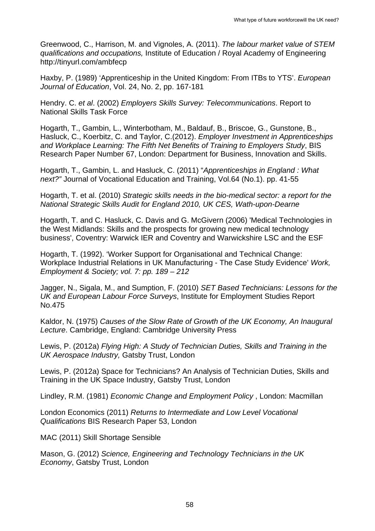Greenwood, C., Harrison, M. and Vignoles, A. (2011). *The labour market value of STEM qualifications and occupations,* Institute of Education / Royal Academy of Engineering http://tinyurl.com/ambfecp

Haxby, P. (1989) 'Apprenticeship in the United Kingdom: From ITBs to YTS'. *European Journal of Education*, Vol. 24, No. 2, pp. 167-181

Hendry. C. *et al*. (2002) *Employers Skills Survey: Telecommunications*. Report to National Skills Task Force

Hogarth, T., Gambin, L., Winterbotham, M., Baldauf, B., Briscoe, G., Gunstone, B., Hasluck, C., Koerbitz, C. and Taylor, C.(2012). *Employer Investment in Apprenticeships and Workplace Learning: The Fifth Net Benefits of Training to Employers Study*, BIS Research Paper Number 67, London: Department for Business, Innovation and Skills.

Hogarth, T., Gambin, L. and Hasluck, C. (2011) "*Apprenticeships in England : What next?"* Journal of Vocational Education and Training, Vol.64 (No.1). pp. 41-55

Hogarth, T. et al. (2010) *Strategic skills needs in the bio-medical sector: a report for the National Strategic Skills Audit for England 2010, UK CES, Wath-upon-Dearne*

Hogarth, T. and C. Hasluck, C. Davis and G. McGivern (2006) 'Medical Technologies in the West Midlands: Skills and the prospects for growing new medical technology business', Coventry: Warwick IER and Coventry and Warwickshire LSC and the ESF

Hogarth, T. (1992). 'Worker Support for Organisational and Technical Change: Workplace Industrial Relations in UK Manufacturing - The Case Study Evidence' *Work, Employment & Society; vol. 7: pp. 189 – 212*

Jagger, N., Sigala, M., and Sumption, F. (2010) *SET Based Technicians: Lessons for the UK and European Labour Force Surveys*, Institute for Employment Studies Report No.475

Kaldor, N. (1975) *Causes of the Slow Rate of Growth of the UK Economy, An Inaugural Lecture*. Cambridge, England: Cambridge University Press

Lewis, P. (2012a) *Flying High: A Study of Technician Duties, Skills and Training in the UK Aerospace Industry,* Gatsby Trust, London

Lewis, P. (2012a) Space for Technicians? An Analysis of Technician Duties, Skills and Training in the UK Space Industry, Gatsby Trust, London

Lindley, R.M. (1981) *Economic Change and Employment Policy* , London: Macmillan

London Economics (2011) *Returns to Intermediate and Low Level Vocational Qualifications* BIS Research Paper 53, London

MAC (2011) Skill Shortage Sensible

Mason, G. (2012) *Science, Engineering and Technology Technicians in the UK Economy*, Gatsby Trust, London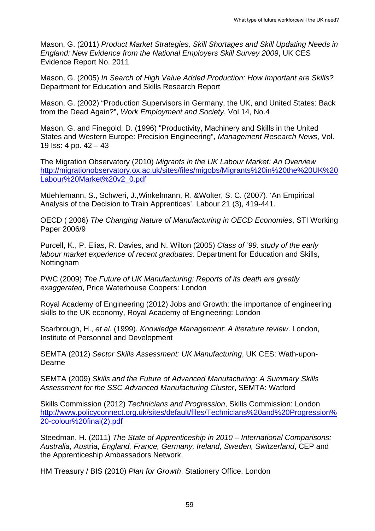Mason, G. (2011) *Product Market Strategies, Skill Shortages and Skill Updating Needs in England: New Evidence from the National Employers Skill Survey 2009*, UK CES Evidence Report No. 2011

Mason, G. (2005) *In Search of High Value Added Production: How Important are Skills?* Department for Education and Skills Research Report

Mason, G. (2002) "Production Supervisors in Germany, the UK, and United States: Back from the Dead Again?", *Work Employment and Society*, Vol.14, No.4

Mason, G. and Finegold, D. (1996) "Productivity, Machinery and Skills in the United States and Western Europe: Precision Engineering", *Management Research News*, Vol. 19 Iss: 4 pp. 42 – 43

The Migration Observatory (2010) *Migrants in the UK Labour Market: An Overview* [http://migrationobservatory.ox.ac.uk/sites/files/migobs/Migrants%20in%20the%20UK%20](http://migrationobservatory.ox.ac.uk/sites/files/migobs/Migrants%20in%20the%20UK%20Labour%20Market%20v2_0.pdf) [Labour%20Market%20v2\\_0.pdf](http://migrationobservatory.ox.ac.uk/sites/files/migobs/Migrants%20in%20the%20UK%20Labour%20Market%20v2_0.pdf)

Müehlemann, S., Schweri, J.,Winkelmann, R. &Wolter, S. C. (2007). 'An Empirical Analysis of the Decision to Train Apprentices'. Labour 21 (3), 419-441.

OECD ( 2006) *The Changing Nature of Manufacturing in OECD Economies*, STI Working Paper 2006/9

Purcell, K., P. Elias, R. Davies, and N. Wilton (2005) *Class of '99, study of the early labour market experience of recent graduates*. Department for Education and Skills, Nottingham

PWC (2009) *The Future of UK Manufacturing: Reports of its death are greatly exaggerated*, Price Waterhouse Coopers: London

Royal Academy of Engineering (2012) Jobs and Growth: the importance of engineering skills to the UK economy, Royal Academy of Engineering: London

Scarbrough, H., *et al*. (1999). *Knowledge Management: A literature review*. London, Institute of Personnel and Development

SEMTA (2012) *Sector Skills Assessment: UK Manufacturing*, UK CES: Wath-upon-Dearne

SEMTA (2009) *Skills and the Future of Advanced Manufacturing: A Summary Skills Assessment for the SSC Advanced Manufacturing Cluster*, SEMTA: Watford

Skills Commission (2012) *Technicians and Progression*, Skills Commission: London [http://www.policyconnect.org.uk/sites/default/files/Technicians%20and%20Progression%](http://www.policyconnect.org.uk/sites/default/files/Technicians%20and%20Progression%20-colour%20final(2).pdf) [20-colour%20final\(2\).pdf](http://www.policyconnect.org.uk/sites/default/files/Technicians%20and%20Progression%20-colour%20final(2).pdf)

Steedman, H. (2011) *The State of Apprenticeship in 2010 – International Comparisons: Australia, Aus*tria, *England, France, Germany, Ireland, Sweden, Switzerland*, CEP and the Apprenticeship Ambassadors Network.

HM Treasury / BIS (2010) *Plan for Growth*, Stationery Office, London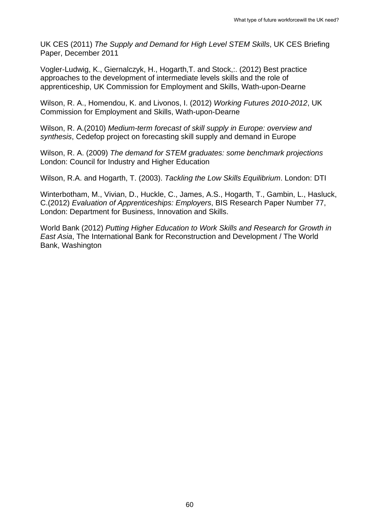UK CES (2011) *The Supply and Demand for High Level STEM Skills*, UK CES Briefing Paper, December 2011

Vogler-Ludwig, K., Giernalczyk, H., Hogarth,T. and Stock,:. (2012) Best practice approaches to the development of intermediate levels skills and the role of apprenticeship, UK Commission for Employment and Skills, Wath-upon-Dearne

Wilson, R. A., Homendou, K. and Livonos, I. (2012) *Working Futures 2010-2012*, UK Commission for Employment and Skills, Wath-upon-Dearne

Wilson, R. A.(2010) *Medium-term forecast of skill supply in Europe: overview and synthesis*, Cedefop project on forecasting skill supply and demand in Europe

Wilson, R. A. (2009) *The demand for STEM graduates: some benchmark projections*  London: Council for Industry and Higher Education

Wilson, R.A. and Hogarth, T. (2003). *Tackling the Low Skills Equilibrium*. London: DTI

Winterbotham, M., Vivian, D., Huckle, C., James, A.S., Hogarth, T., Gambin, L., Hasluck, C.(2012) *Evaluation of Apprenticeships: Employers*, BIS Research Paper Number 77, London: Department for Business, Innovation and Skills.

World Bank (2012) *Putting Higher Education to Work Skills and Research for Growth in East Asia*, The International Bank for Reconstruction and Development / The World Bank, Washington